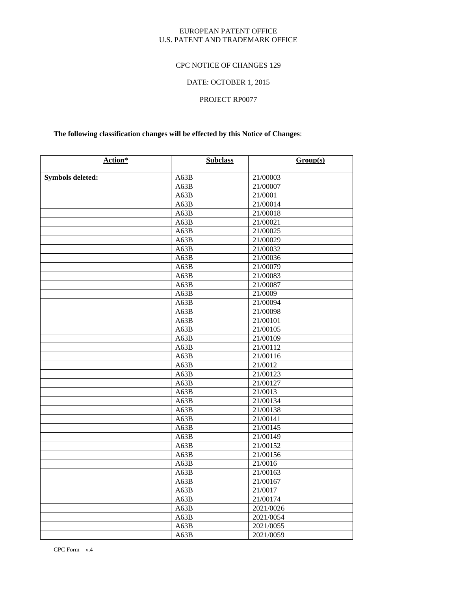### EUROPEAN PATENT OFFICE U.S. PATENT AND TRADEMARK OFFICE

## CPC NOTICE OF CHANGES 129

# DATE: OCTOBER 1, 2015

# PROJECT RP0077

# **The following classification changes will be effected by this Notice of Changes**:

| Action*                 | <b>Subclass</b> | Group(s)  |
|-------------------------|-----------------|-----------|
|                         | A63B            | 21/00003  |
| <b>Symbols deleted:</b> | A63B            | 21/00007  |
|                         | A63B            | 21/0001   |
|                         | A63B            | 21/00014  |
|                         | A63B            | 21/00018  |
|                         | A63B            | 21/00021  |
|                         | A63B            | 21/00025  |
|                         | A63B            | 21/00029  |
|                         | A63B            | 21/00032  |
|                         | A63B            | 21/00036  |
|                         | A63B            | 21/00079  |
|                         | A63B            | 21/00083  |
|                         | A63B            | 21/00087  |
|                         | A63B            | 21/0009   |
|                         | A63B            | 21/00094  |
|                         | A63B            | 21/00098  |
|                         | A63B            | 21/00101  |
|                         | A63B            | 21/00105  |
|                         | A63B            | 21/00109  |
|                         | A63B            | 21/00112  |
|                         | A63B            | 21/00116  |
|                         | A63B            | 21/0012   |
|                         | A63B            | 21/00123  |
|                         | A63B            | 21/00127  |
|                         | A63B            | 21/0013   |
|                         | A63B            | 21/00134  |
|                         | A63B            | 21/00138  |
|                         | A63B            | 21/00141  |
|                         | A63B            | 21/00145  |
|                         | A63B            | 21/00149  |
|                         | A63B            | 21/00152  |
|                         | A63B            | 21/00156  |
|                         | A63B            | 21/0016   |
|                         | A63B            | 21/00163  |
|                         | A63B            | 21/00167  |
|                         | A63B            | 21/0017   |
|                         | A63B            | 21/00174  |
|                         | A63B            | 2021/0026 |
|                         | A63B            | 2021/0054 |
|                         | A63B            | 2021/0055 |
|                         | A63B            | 2021/0059 |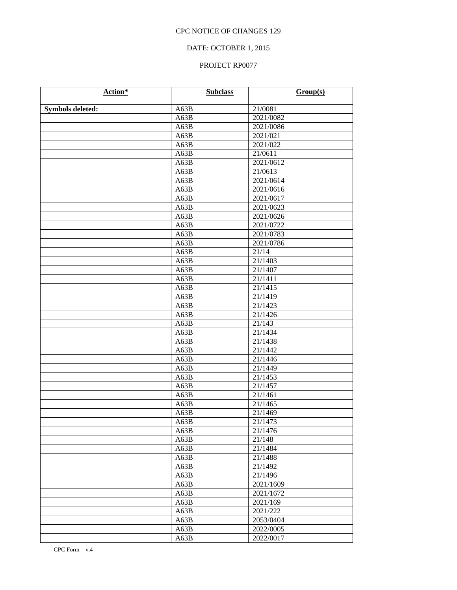# DATE: OCTOBER 1, 2015

| Action*                 | <b>Subclass</b> | Group(s)             |
|-------------------------|-----------------|----------------------|
| <b>Symbols deleted:</b> | A63B            | 21/0081              |
|                         | A63B            | 2021/0082            |
|                         | A63B            | 2021/0086            |
|                         | A63B            | 2021/021             |
|                         | A63B            | 2021/022             |
|                         | A63B            | $\overline{21/0611}$ |
|                         | A63B            | 2021/0612            |
|                         | A63B            | 21/0613              |
|                         | A63B            | 2021/0614            |
|                         | A63B            | 2021/0616            |
|                         | A63B            | 2021/0617            |
|                         | A63B            | 2021/0623            |
|                         | A63B            | 2021/0626            |
|                         | A63B            | 2021/0722            |
|                         | A63B            | 2021/0783            |
|                         | A63B            | 2021/0786            |
|                         | A63B            | 21/14                |
|                         | A63B            | 21/1403              |
|                         | A63B            | 21/1407              |
|                         | A63B            | 21/1411              |
|                         | A63B            | 21/1415              |
|                         | A63B            | 21/1419              |
|                         | A63B            | 21/1423              |
|                         | A63B            | 21/1426              |
|                         | A63B            | 21/143               |
|                         | A63B            | 21/1434              |
|                         | A63B            | 21/1438              |
|                         | A63B            | 21/1442              |
|                         | A63B            | 21/1446              |
|                         | A63B            | 21/1449              |
|                         | A63B            | 21/1453              |
|                         | A63B            | 21/1457              |
|                         | A63B            | 21/1461              |
|                         | A63B            | 21/1465              |
|                         | A63B            | 21/1469              |
|                         | A63B            | 21/1473              |
|                         | A63B            | 21/1476              |
|                         | A63B            | 21/148               |
|                         | A63B            | 21/1484              |
|                         | A63B            | 21/1488              |
|                         | A63B            | 21/1492              |
|                         | A63B            | 21/1496              |
|                         | A63B            | 2021/1609            |
|                         | A63B            | 2021/1672            |
|                         | A63B            | 2021/169             |
|                         | A63B            | 2021/222             |
|                         | A63B            | 2053/0404            |
|                         | A63B            | 2022/0005            |
|                         | A63B            | 2022/0017            |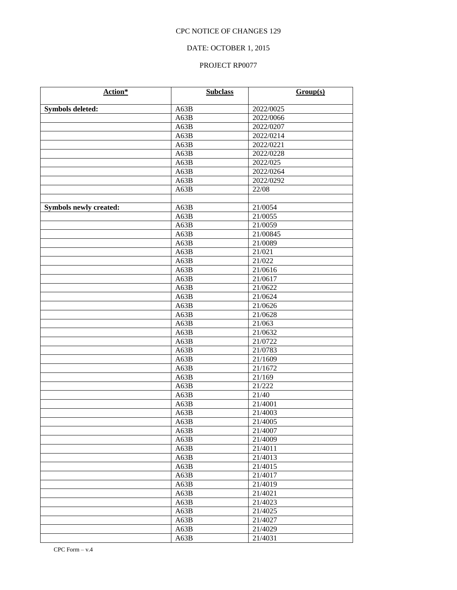# DATE: OCTOBER 1, 2015

| Action*                       | <b>Subclass</b> | Group(s)  |
|-------------------------------|-----------------|-----------|
| <b>Symbols deleted:</b>       | A63B            | 2022/0025 |
|                               | A63B            | 2022/0066 |
|                               | A63B            | 2022/0207 |
|                               | A63B            | 2022/0214 |
|                               | A63B            | 2022/0221 |
|                               | A63B            | 2022/0228 |
|                               | A63B            | 2022/025  |
|                               | A63B            | 2022/0264 |
|                               | A63B            | 2022/0292 |
|                               | A63B            | 22/08     |
|                               |                 |           |
| <b>Symbols newly created:</b> | A63B            | 21/0054   |
|                               | A63B            | 21/0055   |
|                               | A63B            | 21/0059   |
|                               | A63B            | 21/00845  |
|                               | A63B            | 21/0089   |
|                               | A63B            | 21/021    |
|                               | A63B            | 21/022    |
|                               | A63B            | 21/0616   |
|                               | A63B            | 21/0617   |
|                               | A63B            | 21/0622   |
|                               | A63B            | 21/0624   |
|                               | A63B            | 21/0626   |
|                               | A63B            | 21/0628   |
|                               | A63B            | 21/063    |
|                               | A63B            | 21/0632   |
|                               | A63B            | 21/0722   |
|                               | A63B            | 21/0783   |
|                               | A63B            | 21/1609   |
|                               | A63B            | 21/1672   |
|                               | A63B            | 21/169    |
|                               | A63B            | 21/222    |
|                               | A63B            | 21/40     |
|                               | A63B            | 21/4001   |
|                               | A63B            | 21/4003   |
|                               | A63B            | 21/4005   |
|                               | A63B            | 21/4007   |
|                               | A63B            | 21/4009   |
|                               | A63B            | 21/4011   |
|                               | A63B            | 21/4013   |
|                               | A63B            | 21/4015   |
|                               | A63B            | 21/4017   |
|                               | A63B            | 21/4019   |
|                               | A63B            | 21/4021   |
|                               | A63B            | 21/4023   |
|                               | A63B            | 21/4025   |
|                               | A63B            | 21/4027   |
|                               | A63B            | 21/4029   |
|                               | A63B            | 21/4031   |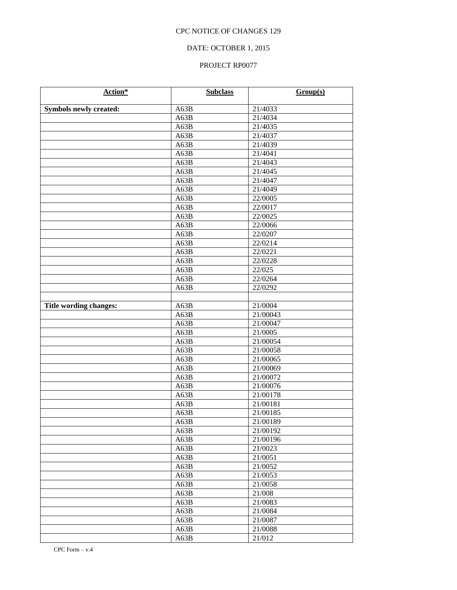# DATE: OCTOBER 1, 2015

| Action*                       | <b>Subclass</b> | Group(s) |
|-------------------------------|-----------------|----------|
| <b>Symbols newly created:</b> | A63B            | 21/4033  |
|                               | A63B            | 21/4034  |
|                               | A63B            | 21/4035  |
|                               | A63B            | 21/4037  |
|                               | A63B            | 21/4039  |
|                               | A63B            | 21/4041  |
|                               | A63B            | 21/4043  |
|                               | A63B            | 21/4045  |
|                               | A63B            | 21/4047  |
|                               | A63B            | 21/4049  |
|                               | A63B            | 22/0005  |
|                               | A63B            | 22/0017  |
|                               | A63B            | 22/0025  |
|                               | A63B            | 22/0066  |
|                               | A63B            | 22/0207  |
|                               | A63B            | 22/0214  |
|                               | A63B            | 22/0221  |
|                               | A63B            | 22/0228  |
|                               | A63B            | 22/025   |
|                               | A63B            | 22/0264  |
|                               | A63B            | 22/0292  |
|                               |                 |          |
| Title wording changes:        | A63B            | 21/0004  |
|                               | A63B            | 21/00043 |
|                               | A63B            | 21/00047 |
|                               | A63B            | 21/0005  |
|                               | A63B            | 21/00054 |
|                               | A63B            | 21/00058 |
|                               | A63B            | 21/00065 |
|                               | A63B            | 21/00069 |
|                               | A63B            | 21/00072 |
|                               | A63B            | 21/00076 |
|                               | A63B            | 21/00178 |
|                               | A63B            | 21/00181 |
|                               | A63B            | 21/00185 |
|                               | A63B            | 21/00189 |
|                               | A63B            | 21/00192 |
|                               | A63B            | 21/00196 |
|                               | A63B            | 21/0023  |
|                               | A63B            | 21/0051  |
|                               | A63B            | 21/0052  |
|                               | A63B            | 21/0053  |
|                               | A63B            | 21/0058  |
|                               | A63B            | 21/008   |
|                               | A63B            | 21/0083  |
|                               | A63B            | 21/0084  |
|                               | A63B            | 21/0087  |
|                               | A63B            | 21/0088  |
|                               | A63B            | 21/012   |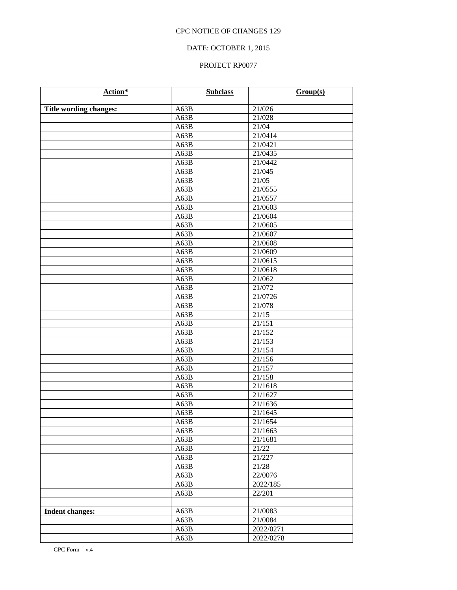# DATE: OCTOBER 1, 2015

| Action*                | <b>Subclass</b> | Group(s)             |
|------------------------|-----------------|----------------------|
| Title wording changes: | A63B            | 21/026               |
|                        | A63B            | 21/028               |
|                        | A63B            | 21/04                |
|                        | A63B            | 21/0414              |
|                        | A63B            | 21/0421              |
|                        | A63B            | 21/0435              |
|                        | A63B            | 21/0442              |
|                        | A63B            | 21/045               |
|                        | A63B            | $2\overline{1/05}$   |
|                        | A63B            | 21/0555              |
|                        | A63B            | 21/0557              |
|                        | A63B            | 21/0603              |
|                        | A63B            | 21/0604              |
|                        | A63B            | 21/0605              |
|                        | A63B            | 21/0607              |
|                        | A63B            | 21/0608              |
|                        | A63B            | 21/0609              |
|                        | A63B            | 21/0615              |
|                        | A63B            | 21/0618              |
|                        | A63B            | 21/062               |
|                        | A63B            | 21/072               |
|                        | A63B            | 21/0726              |
|                        | A63B            | 21/078               |
|                        | A63B            | 21/15                |
|                        | A63B            | 21/151               |
|                        | A63B            | 21/152               |
|                        | A63B            | 21/153               |
|                        | A63B            | 21/154               |
|                        | A63B            | 21/156               |
|                        | A63B            | 21/157               |
|                        | A63B            | 21/158               |
|                        | A63B            | 21/1618              |
|                        | A63B            | 21/1627              |
|                        | A63B            | 21/1636              |
|                        | A63B            | 21/1645              |
|                        | A63B            | $2\overline{1/1654}$ |
|                        | A63B            | 21/1663              |
|                        | A63B            | 21/1681              |
|                        | A63B            | 21/22                |
|                        | A63B            | 21/227               |
|                        | A63B            | 21/28                |
|                        | A63B            | 22/0076              |
|                        | A63B            | 2022/185             |
|                        | A63B            | 22/201               |
|                        |                 |                      |
| <b>Indent changes:</b> | A63B            | 21/0083              |
|                        | A63B            | 21/0084              |
|                        | A63B            | 2022/0271            |
|                        | A63B            | 2022/0278            |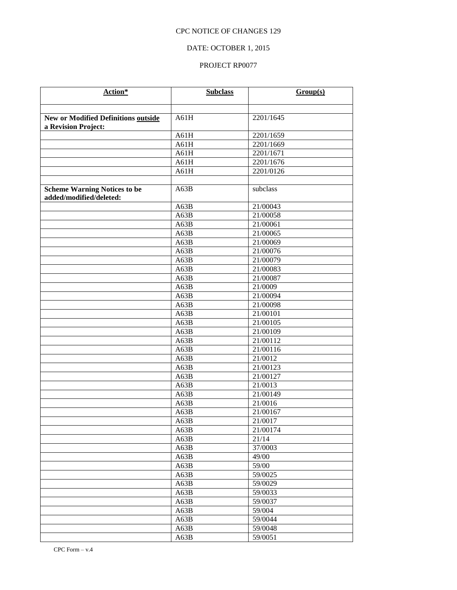# DATE: OCTOBER 1, 2015

| Action*                                                           | <b>Subclass</b> | Group(s)  |
|-------------------------------------------------------------------|-----------------|-----------|
|                                                                   |                 |           |
|                                                                   |                 |           |
| <b>New or Modified Definitions outside</b><br>a Revision Project: | A61H            | 2201/1645 |
|                                                                   | A61H            | 2201/1659 |
|                                                                   | A61H            | 2201/1669 |
|                                                                   | A61H            | 2201/1671 |
|                                                                   | A61H            | 2201/1676 |
|                                                                   | A61H            | 2201/0126 |
|                                                                   |                 |           |
| <b>Scheme Warning Notices to be</b><br>added/modified/deleted:    | A63B            | subclass  |
|                                                                   | A63B            | 21/00043  |
|                                                                   | A63B            | 21/00058  |
|                                                                   | A63B            | 21/00061  |
|                                                                   | A63B            | 21/00065  |
|                                                                   | A63B            | 21/00069  |
|                                                                   | A63B            | 21/00076  |
|                                                                   | A63B            | 21/00079  |
|                                                                   | A63B            | 21/00083  |
|                                                                   | A63B            | 21/00087  |
|                                                                   | A63B            | 21/0009   |
|                                                                   | A63B            | 21/00094  |
|                                                                   | A63B            | 21/00098  |
|                                                                   | A63B            | 21/00101  |
|                                                                   | A63B            | 21/00105  |
|                                                                   | A63B            | 21/00109  |
|                                                                   | A63B            | 21/00112  |
|                                                                   | A63B            | 21/00116  |
|                                                                   | A63B            | 21/0012   |
|                                                                   | A63B            | 21/00123  |
|                                                                   | A63B            | 21/00127  |
|                                                                   | A63B            | 21/0013   |
|                                                                   | A63B            | 21/00149  |
|                                                                   | A63B            | 21/0016   |
|                                                                   | A63B            | 21/00167  |
|                                                                   | A63B            | 21/0017   |
|                                                                   | A63B            | 21/00174  |
|                                                                   | A63B            | 21/14     |
|                                                                   | A63B            | 37/0003   |
|                                                                   | A63B            | 49/00     |
|                                                                   | A63B            | 59/00     |
|                                                                   | A63B            | 59/0025   |
|                                                                   | A63B            | 59/0029   |
|                                                                   | A63B            | 59/0033   |
|                                                                   | A63B            | 59/0037   |
|                                                                   | A63B            | 59/004    |
|                                                                   | A63B            | 59/0044   |
|                                                                   | A63B            | 59/0048   |
|                                                                   | A63B            | 59/0051   |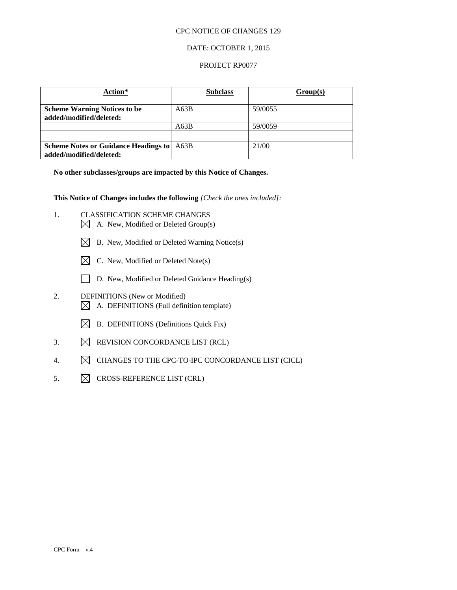### DATE: OCTOBER 1, 2015

### PROJECT RP0077

| Action*                                                                | <b>Subclass</b> | Group(s) |
|------------------------------------------------------------------------|-----------------|----------|
| <b>Scheme Warning Notices to be</b><br>added/modified/deleted:         | A63B            | 59/0055  |
|                                                                        | A63B            | 59/0059  |
|                                                                        |                 |          |
| <b>Scheme Notes or Guidance Headings to</b><br>added/modified/deleted: | A63B            | 21/00    |

**No other subclasses/groups are impacted by this Notice of Changes.**

**This Notice of Changes includes the following** *[Check the ones included]:*

- 1. CLASSIFICATION SCHEME CHANGES
	- $\boxtimes$  A. New, Modified or Deleted Group(s)
	- $\boxtimes$  B. New, Modified or Deleted Warning Notice(s)
	- $\boxtimes$  C. New, Modified or Deleted Note(s)
	- D. New, Modified or Deleted Guidance Heading(s)
- 2. DEFINITIONS (New or Modified)  $\boxtimes$  A. DEFINITIONS (Full definition template)
	- $\boxtimes$  B. DEFINITIONS (Definitions Quick Fix)
- 3.  $\boxtimes$  REVISION CONCORDANCE LIST (RCL)
- 4.  $\boxtimes$  CHANGES TO THE CPC-TO-IPC CONCORDANCE LIST (CICL)
- 5.  $\boxtimes$  CROSS-REFERENCE LIST (CRL)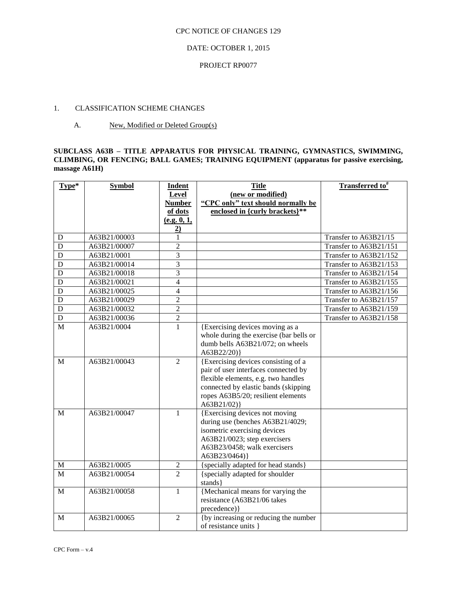## DATE: OCTOBER 1, 2015

### PROJECT RP0077

### 1. CLASSIFICATION SCHEME CHANGES

### A. New, Modified or Deleted Group(s)

### **SUBCLASS A63B – TITLE APPARATUS FOR PHYSICAL TRAINING, GYMNASTICS, SWIMMING, CLIMBING, OR FENCING; BALL GAMES; TRAINING EQUIPMENT (apparatus for passive exercising, massage A61H)**

| Type*       | <b>Symbol</b> | Indent         | <b>Title</b>                            | Transferred to <sup>#</sup> |
|-------------|---------------|----------------|-----------------------------------------|-----------------------------|
|             |               | <b>Level</b>   | (new or modified)                       |                             |
|             |               | <b>Number</b>  | "CPC only" text should normally be      |                             |
|             |               | of dots        | enclosed in {curly brackets}**          |                             |
|             |               | (e.g. 0, 1,    |                                         |                             |
|             |               | $\overline{2}$ |                                         |                             |
| D           | A63B21/00003  | 1              |                                         | Transfer to A63B21/15       |
| D           | A63B21/00007  | $\overline{2}$ |                                         | Transfer to A63B21/151      |
| $\mathbf D$ | A63B21/0001   | $\overline{3}$ |                                         | Transfer to A63B21/152      |
| $\mathbf D$ | A63B21/00014  | 3              |                                         | Transfer to A63B21/153      |
| D           | A63B21/00018  | 3              |                                         | Transfer to A63B21/154      |
| D           | A63B21/00021  | $\overline{4}$ |                                         | Transfer to A63B21/155      |
| D           | A63B21/00025  | $\overline{4}$ |                                         | Transfer to A63B21/156      |
| D           | A63B21/00029  | $\overline{c}$ |                                         | Transfer to A63B21/157      |
| $\mathbf D$ | A63B21/00032  | $\overline{c}$ |                                         | Transfer to A63B21/159      |
| $\mathbf D$ | A63B21/00036  | $\overline{2}$ |                                         | Transfer to A63B21/158      |
| M           | A63B21/0004   | $\mathbf{1}$   | {Exercising devices moving as a         |                             |
|             |               |                | whole during the exercise (bar bells or |                             |
|             |               |                | dumb bells A63B21/072; on wheels        |                             |
|             |               |                | $A63B22/20$ }                           |                             |
| M           | A63B21/00043  | $\overline{2}$ | {Exercising devices consisting of a     |                             |
|             |               |                | pair of user interfaces connected by    |                             |
|             |               |                | flexible elements, e.g. two handles     |                             |
|             |               |                | connected by elastic bands (skipping    |                             |
|             |               |                | ropes A63B5/20; resilient elements      |                             |
|             |               |                | A63B21/02)                              |                             |
| M           | A63B21/00047  | $\mathbf{1}$   | {Exercising devices not moving          |                             |
|             |               |                | during use (benches A63B21/4029;        |                             |
|             |               |                | isometric exercising devices            |                             |
|             |               |                | A63B21/0023; step exercisers            |                             |
|             |               |                | A63B23/0458; walk exercisers            |                             |
|             |               |                | A63B23/0464)}                           |                             |
| $\mathbf M$ | A63B21/0005   | $\overline{2}$ | {specially adapted for head stands}     |                             |
| M           | A63B21/00054  | $\overline{2}$ | {specially adapted for shoulder         |                             |
|             |               |                | stands }                                |                             |
| $\mathbf M$ | A63B21/00058  | $\mathbf{1}$   | {Mechanical means for varying the       |                             |
|             |               |                | resistance (A63B21/06 takes             |                             |
|             |               |                | precedence) }                           |                             |
| M           | A63B21/00065  | $\overline{2}$ | {by increasing or reducing the number   |                             |
|             |               |                | of resistance units }                   |                             |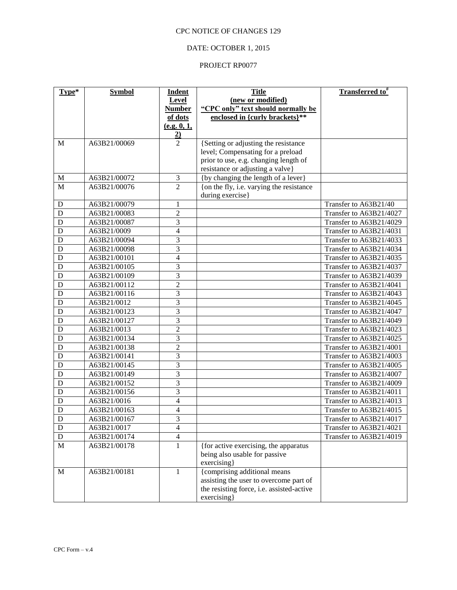## DATE: OCTOBER 1, 2015

| Type*       | <b>Symbol</b> | <b>Indent</b>                    | <b>Title</b>                                                              | <b>Transferred to</b> # |
|-------------|---------------|----------------------------------|---------------------------------------------------------------------------|-------------------------|
|             |               | Level                            | (new or modified)                                                         |                         |
|             |               | <b>Number</b>                    | "CPC only" text should normally be                                        |                         |
|             |               | of dots                          | enclosed in {curly brackets}**                                            |                         |
|             |               | (e.g. 0, 1,                      |                                                                           |                         |
| M           | A63B21/00069  | $\overline{2}$<br>$\overline{2}$ |                                                                           |                         |
|             |               |                                  | {Setting or adjusting the resistance<br>level; Compensating for a preload |                         |
|             |               |                                  | prior to use, e.g. changing length of                                     |                         |
|             |               |                                  | resistance or adjusting a valve}                                          |                         |
| M           | A63B21/00072  | $\mathfrak{Z}$                   | {by changing the length of a lever}                                       |                         |
| M           | A63B21/00076  | $\overline{2}$                   | {on the fly, i.e. varying the resistance                                  |                         |
|             |               |                                  | during exercise}                                                          |                         |
| D           | A63B21/00079  | $\mathbf{1}$                     |                                                                           | Transfer to A63B21/40   |
| D           | A63B21/00083  | $\overline{c}$                   |                                                                           | Transfer to A63B21/4027 |
| D           | A63B21/00087  | 3                                |                                                                           | Transfer to A63B21/4029 |
| D           | A63B21/0009   | $\overline{4}$                   |                                                                           | Transfer to A63B21/4031 |
| D           | A63B21/00094  | $\overline{3}$                   |                                                                           | Transfer to A63B21/4033 |
| D           | A63B21/00098  | 3                                |                                                                           | Transfer to A63B21/4034 |
| D           | A63B21/00101  | $\overline{4}$                   |                                                                           | Transfer to A63B21/4035 |
| D           | A63B21/00105  | 3                                |                                                                           | Transfer to A63B21/4037 |
| D           | A63B21/00109  | $\overline{3}$                   |                                                                           | Transfer to A63B21/4039 |
| D           | A63B21/00112  | $\overline{c}$                   |                                                                           | Transfer to A63B21/4041 |
| D           | A63B21/00116  | 3                                |                                                                           | Transfer to A63B21/4043 |
| D           | A63B21/0012   | $\overline{3}$                   |                                                                           | Transfer to A63B21/4045 |
| D           | A63B21/00123  | 3                                |                                                                           | Transfer to A63B21/4047 |
| D           | A63B21/00127  | 3                                |                                                                           | Transfer to A63B21/4049 |
| D           | A63B21/0013   | $\overline{2}$                   |                                                                           | Transfer to A63B21/4023 |
| D           | A63B21/00134  | $\overline{3}$                   |                                                                           | Transfer to A63B21/4025 |
| D           | A63B21/00138  | $\overline{c}$                   |                                                                           | Transfer to A63B21/4001 |
| D           | A63B21/00141  | 3                                |                                                                           | Transfer to A63B21/4003 |
| D           | A63B21/00145  | $\overline{3}$                   |                                                                           | Transfer to A63B21/4005 |
| D           | A63B21/00149  | $\overline{3}$                   |                                                                           | Transfer to A63B21/4007 |
| D           | A63B21/00152  | 3                                |                                                                           | Transfer to A63B21/4009 |
| D           | A63B21/00156  | 3                                |                                                                           | Transfer to A63B21/4011 |
| D           | A63B21/0016   | 4                                |                                                                           | Transfer to A63B21/4013 |
| D           | A63B21/00163  | 4                                |                                                                           | Transfer to A63B21/4015 |
| $\mathbf D$ | A63B21/00167  | 3                                |                                                                           | Transfer to A63B21/4017 |
| $\mathbf D$ | A63B21/0017   | $\overline{4}$                   |                                                                           | Transfer to A63B21/4021 |
| ${\bf D}$   | A63B21/00174  | $\overline{4}$                   |                                                                           | Transfer to A63B21/4019 |
| $\mathbf M$ | A63B21/00178  | $\mathbf{1}$                     | {for active exercising, the apparatus                                     |                         |
|             |               |                                  | being also usable for passive                                             |                         |
|             |               |                                  | exercising}                                                               |                         |
| $\mathbf M$ | A63B21/00181  | $\mathbf{1}$                     | {comprising additional means<br>assisting the user to overcome part of    |                         |
|             |               |                                  | the resisting force, i.e. assisted-active                                 |                         |
|             |               |                                  | exercising}                                                               |                         |
|             |               |                                  |                                                                           |                         |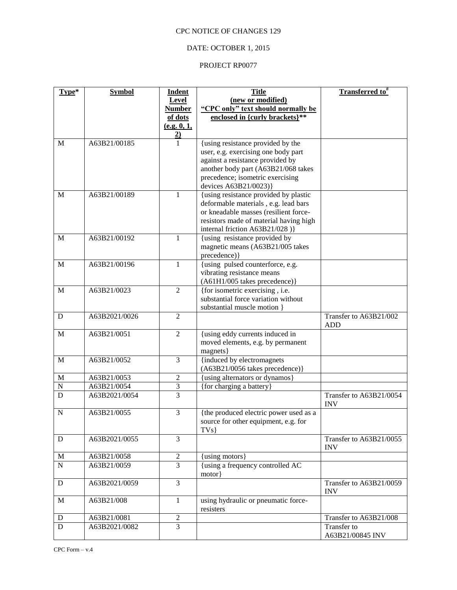# DATE: OCTOBER 1, 2015

| Type*          | <b>Symbol</b> | <b>Indent</b>                    | <b>Title</b>                                                    | Transferred to <sup>#</sup>           |
|----------------|---------------|----------------------------------|-----------------------------------------------------------------|---------------------------------------|
|                |               | Level                            | (new or modified)                                               |                                       |
|                |               | <b>Number</b>                    | "CPC only" text should normally be                              |                                       |
|                |               | of dots                          | enclosed in {curly brackets}**                                  |                                       |
|                |               | (e.g. 0, 1,                      |                                                                 |                                       |
| M              | A63B21/00185  | $\overline{2}$<br>$\overline{1}$ | {using resistance provided by the                               |                                       |
|                |               |                                  | user, e.g. exercising one body part                             |                                       |
|                |               |                                  | against a resistance provided by                                |                                       |
|                |               |                                  | another body part (A63B21/068 takes                             |                                       |
|                |               |                                  | precedence; isometric exercising                                |                                       |
|                |               |                                  | devices A63B21/0023)}                                           |                                       |
| M              | A63B21/00189  | $\mathbf{1}$                     | {using resistance provided by plastic                           |                                       |
|                |               |                                  | deformable materials, e.g. lead bars                            |                                       |
|                |               |                                  | or kneadable masses (resilient force-                           |                                       |
|                |               |                                  | resistors made of material having high                          |                                       |
| M              | A63B21/00192  | $\mathbf{1}$                     | internal friction A63B21/028)}<br>{using resistance provided by |                                       |
|                |               |                                  | magnetic means (A63B21/005 takes                                |                                       |
|                |               |                                  | precedence) }                                                   |                                       |
| M              | A63B21/00196  | 1                                | {using pulsed counterforce, e.g.                                |                                       |
|                |               |                                  | vibrating resistance means                                      |                                       |
|                |               |                                  | (A61H1/005 takes precedence)}                                   |                                       |
| $\mathbf M$    | A63B21/0023   | $\overline{2}$                   | {for isometric exercising, i.e.                                 |                                       |
|                |               |                                  | substantial force variation without                             |                                       |
|                |               | $\overline{2}$                   | substantial muscle motion }                                     |                                       |
| D              | A63B2021/0026 |                                  |                                                                 | Transfer to A63B21/002<br><b>ADD</b>  |
| M              | A63B21/0051   | $\overline{2}$                   | {using eddy currents induced in                                 |                                       |
|                |               |                                  | moved elements, e.g. by permanent                               |                                       |
|                |               |                                  | magnets}                                                        |                                       |
| $\mathbf M$    | A63B21/0052   | $\overline{3}$                   | {induced by electromagnets                                      |                                       |
|                |               |                                  | (A63B21/0056 takes precedence)}                                 |                                       |
| M              | A63B21/0053   | $\overline{c}$                   | {using alternators or dynamos}                                  |                                       |
| $\overline{N}$ | A63B21/0054   | 3                                | {for charging a battery}                                        |                                       |
| $\mathbf D$    | A63B2021/0054 | 3                                |                                                                 | Transfer to A63B21/0054<br><b>INV</b> |
| N              | A63B21/0055   | 3                                | {the produced electric power used as a                          |                                       |
|                |               |                                  | source for other equipment, e.g. for                            |                                       |
| ${\bf D}$      |               | $\overline{3}$                   | TVs                                                             | Transfer to A63B21/0055               |
|                | A63B2021/0055 |                                  |                                                                 | <b>INV</b>                            |
| M              | A63B21/0058   | $\overline{c}$                   | {using motors}                                                  |                                       |
| ${\bf N}$      | A63B21/0059   | $\overline{3}$                   | {using a frequency controlled AC                                |                                       |
|                |               |                                  | $motor$ }                                                       |                                       |
| ${\bf D}$      | A63B2021/0059 | $\overline{3}$                   |                                                                 | Transfer to A63B21/0059               |
|                |               |                                  |                                                                 | <b>INV</b>                            |
| $\mathbf M$    | A63B21/008    | $\mathbf{1}$                     | using hydraulic or pneumatic force-<br>resisters                |                                       |
| D              | A63B21/0081   | $\overline{c}$                   |                                                                 | Transfer to A63B21/008                |
| ${\bf D}$      | A63B2021/0082 | 3                                |                                                                 | Transfer to                           |
|                |               |                                  |                                                                 | A63B21/00845 INV                      |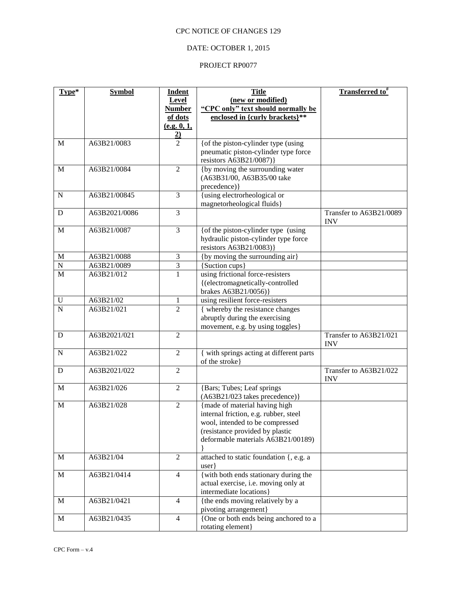# DATE: OCTOBER 1, 2015

| Level<br>(new or modified)<br>"CPC only" text should normally be<br><b>Number</b><br>enclosed in {curly brackets}**<br>of dots<br>(e.g. 0, 1,<br>$\frac{2}{2}$<br>{of the piston-cylinder type (using<br>A63B21/0083<br>$\mathbf M$<br>pneumatic piston-cylinder type force<br>resistors A63B21/0087)}<br>{by moving the surrounding water<br>A63B21/0084<br>$\overline{2}$<br>M<br>(A63B31/00, A63B35/00 take<br>precedence) }<br>{using electrorheological or<br>A63B21/00845<br>3<br>${\bf N}$<br>magnetorheological fluids}<br>3<br>A63B2021/0086<br>Transfer to A63B21/0089<br>D<br><b>INV</b><br>A63B21/0087<br>{of the piston-cylinder type (using<br>3<br>$\mathbf M$<br>hydraulic piston-cylinder type force<br>resistors A63B21/0083)}<br>{by moving the surrounding air}<br>A63B21/0088<br>M<br>3<br>$\overline{3}$<br>${\bf N}$<br>A63B21/0089<br>{Suction cups}<br>$\overline{1}$<br>$\overline{M}$<br>using frictional force-resisters<br>A63B21/012<br>{(electromagnetically-controlled<br>brakes A63B21/0056)}<br>using resilient force-resisters<br>A63B21/02<br>$\mathbf U$<br>$\mathbf{1}$<br>$\overline{N}$<br>$\overline{2}$<br>{ whereby the resistance changes<br>A63B21/021<br>abruptly during the exercising<br>movement, e.g. by using toggles}<br>Transfer to A63B21/021<br>A63B2021/021<br>$\overline{2}$<br>D<br><b>INV</b><br>{ with springs acting at different parts<br>A63B21/022<br>$\overline{2}$<br>${\bf N}$<br>of the stroke}<br>A63B2021/022<br>$\overline{2}$<br>Transfer to A63B21/022<br>D<br><b>INV</b><br>$\overline{2}$<br>{Bars; Tubes; Leaf springs<br>A63B21/026<br>$\mathbf M$<br>(A63B21/023 takes precedence)}<br>A63B21/028<br>{made of material having high<br>$\mathbf M$<br>$\overline{2}$<br>internal friction, e.g. rubber, steel<br>wool, intended to be compressed<br>(resistance provided by plastic<br>deformable materials A63B21/00189)<br>$\mathbf{2}$<br>$\mathbf M$<br>A63B21/04<br>attached to static foundation {, e.g. a<br>user<br>{with both ends stationary during the<br>$\mathbf M$<br>A63B21/0414<br>$\overline{4}$<br>actual exercise, i.e. moving only at<br>intermediate locations}<br>{the ends moving relatively by a<br>$\overline{4}$<br>M<br>A63B21/0421<br>pivoting arrangement}<br>A63B21/0435<br>$\overline{4}$<br>{One or both ends being anchored to a<br>$\mathbf M$ | Type* | <b>Symbol</b> | <b>Indent</b> | <b>Title</b>      | <b>Transferred to</b> # |
|---------------------------------------------------------------------------------------------------------------------------------------------------------------------------------------------------------------------------------------------------------------------------------------------------------------------------------------------------------------------------------------------------------------------------------------------------------------------------------------------------------------------------------------------------------------------------------------------------------------------------------------------------------------------------------------------------------------------------------------------------------------------------------------------------------------------------------------------------------------------------------------------------------------------------------------------------------------------------------------------------------------------------------------------------------------------------------------------------------------------------------------------------------------------------------------------------------------------------------------------------------------------------------------------------------------------------------------------------------------------------------------------------------------------------------------------------------------------------------------------------------------------------------------------------------------------------------------------------------------------------------------------------------------------------------------------------------------------------------------------------------------------------------------------------------------------------------------------------------------------------------------------------------------------------------------------------------------------------------------------------------------------------------------------------------------------------------------------------------------------------------------------------------------------------------------------------------------------------------------------------------------------------------------------------------------------------------------------------------------|-------|---------------|---------------|-------------------|-------------------------|
|                                                                                                                                                                                                                                                                                                                                                                                                                                                                                                                                                                                                                                                                                                                                                                                                                                                                                                                                                                                                                                                                                                                                                                                                                                                                                                                                                                                                                                                                                                                                                                                                                                                                                                                                                                                                                                                                                                                                                                                                                                                                                                                                                                                                                                                                                                                                                               |       |               |               |                   |                         |
|                                                                                                                                                                                                                                                                                                                                                                                                                                                                                                                                                                                                                                                                                                                                                                                                                                                                                                                                                                                                                                                                                                                                                                                                                                                                                                                                                                                                                                                                                                                                                                                                                                                                                                                                                                                                                                                                                                                                                                                                                                                                                                                                                                                                                                                                                                                                                               |       |               |               |                   |                         |
|                                                                                                                                                                                                                                                                                                                                                                                                                                                                                                                                                                                                                                                                                                                                                                                                                                                                                                                                                                                                                                                                                                                                                                                                                                                                                                                                                                                                                                                                                                                                                                                                                                                                                                                                                                                                                                                                                                                                                                                                                                                                                                                                                                                                                                                                                                                                                               |       |               |               |                   |                         |
|                                                                                                                                                                                                                                                                                                                                                                                                                                                                                                                                                                                                                                                                                                                                                                                                                                                                                                                                                                                                                                                                                                                                                                                                                                                                                                                                                                                                                                                                                                                                                                                                                                                                                                                                                                                                                                                                                                                                                                                                                                                                                                                                                                                                                                                                                                                                                               |       |               |               |                   |                         |
|                                                                                                                                                                                                                                                                                                                                                                                                                                                                                                                                                                                                                                                                                                                                                                                                                                                                                                                                                                                                                                                                                                                                                                                                                                                                                                                                                                                                                                                                                                                                                                                                                                                                                                                                                                                                                                                                                                                                                                                                                                                                                                                                                                                                                                                                                                                                                               |       |               |               |                   |                         |
|                                                                                                                                                                                                                                                                                                                                                                                                                                                                                                                                                                                                                                                                                                                                                                                                                                                                                                                                                                                                                                                                                                                                                                                                                                                                                                                                                                                                                                                                                                                                                                                                                                                                                                                                                                                                                                                                                                                                                                                                                                                                                                                                                                                                                                                                                                                                                               |       |               |               |                   |                         |
|                                                                                                                                                                                                                                                                                                                                                                                                                                                                                                                                                                                                                                                                                                                                                                                                                                                                                                                                                                                                                                                                                                                                                                                                                                                                                                                                                                                                                                                                                                                                                                                                                                                                                                                                                                                                                                                                                                                                                                                                                                                                                                                                                                                                                                                                                                                                                               |       |               |               |                   |                         |
|                                                                                                                                                                                                                                                                                                                                                                                                                                                                                                                                                                                                                                                                                                                                                                                                                                                                                                                                                                                                                                                                                                                                                                                                                                                                                                                                                                                                                                                                                                                                                                                                                                                                                                                                                                                                                                                                                                                                                                                                                                                                                                                                                                                                                                                                                                                                                               |       |               |               |                   |                         |
|                                                                                                                                                                                                                                                                                                                                                                                                                                                                                                                                                                                                                                                                                                                                                                                                                                                                                                                                                                                                                                                                                                                                                                                                                                                                                                                                                                                                                                                                                                                                                                                                                                                                                                                                                                                                                                                                                                                                                                                                                                                                                                                                                                                                                                                                                                                                                               |       |               |               |                   |                         |
|                                                                                                                                                                                                                                                                                                                                                                                                                                                                                                                                                                                                                                                                                                                                                                                                                                                                                                                                                                                                                                                                                                                                                                                                                                                                                                                                                                                                                                                                                                                                                                                                                                                                                                                                                                                                                                                                                                                                                                                                                                                                                                                                                                                                                                                                                                                                                               |       |               |               |                   |                         |
|                                                                                                                                                                                                                                                                                                                                                                                                                                                                                                                                                                                                                                                                                                                                                                                                                                                                                                                                                                                                                                                                                                                                                                                                                                                                                                                                                                                                                                                                                                                                                                                                                                                                                                                                                                                                                                                                                                                                                                                                                                                                                                                                                                                                                                                                                                                                                               |       |               |               |                   |                         |
|                                                                                                                                                                                                                                                                                                                                                                                                                                                                                                                                                                                                                                                                                                                                                                                                                                                                                                                                                                                                                                                                                                                                                                                                                                                                                                                                                                                                                                                                                                                                                                                                                                                                                                                                                                                                                                                                                                                                                                                                                                                                                                                                                                                                                                                                                                                                                               |       |               |               |                   |                         |
|                                                                                                                                                                                                                                                                                                                                                                                                                                                                                                                                                                                                                                                                                                                                                                                                                                                                                                                                                                                                                                                                                                                                                                                                                                                                                                                                                                                                                                                                                                                                                                                                                                                                                                                                                                                                                                                                                                                                                                                                                                                                                                                                                                                                                                                                                                                                                               |       |               |               |                   |                         |
|                                                                                                                                                                                                                                                                                                                                                                                                                                                                                                                                                                                                                                                                                                                                                                                                                                                                                                                                                                                                                                                                                                                                                                                                                                                                                                                                                                                                                                                                                                                                                                                                                                                                                                                                                                                                                                                                                                                                                                                                                                                                                                                                                                                                                                                                                                                                                               |       |               |               |                   |                         |
|                                                                                                                                                                                                                                                                                                                                                                                                                                                                                                                                                                                                                                                                                                                                                                                                                                                                                                                                                                                                                                                                                                                                                                                                                                                                                                                                                                                                                                                                                                                                                                                                                                                                                                                                                                                                                                                                                                                                                                                                                                                                                                                                                                                                                                                                                                                                                               |       |               |               |                   |                         |
|                                                                                                                                                                                                                                                                                                                                                                                                                                                                                                                                                                                                                                                                                                                                                                                                                                                                                                                                                                                                                                                                                                                                                                                                                                                                                                                                                                                                                                                                                                                                                                                                                                                                                                                                                                                                                                                                                                                                                                                                                                                                                                                                                                                                                                                                                                                                                               |       |               |               |                   |                         |
|                                                                                                                                                                                                                                                                                                                                                                                                                                                                                                                                                                                                                                                                                                                                                                                                                                                                                                                                                                                                                                                                                                                                                                                                                                                                                                                                                                                                                                                                                                                                                                                                                                                                                                                                                                                                                                                                                                                                                                                                                                                                                                                                                                                                                                                                                                                                                               |       |               |               |                   |                         |
|                                                                                                                                                                                                                                                                                                                                                                                                                                                                                                                                                                                                                                                                                                                                                                                                                                                                                                                                                                                                                                                                                                                                                                                                                                                                                                                                                                                                                                                                                                                                                                                                                                                                                                                                                                                                                                                                                                                                                                                                                                                                                                                                                                                                                                                                                                                                                               |       |               |               |                   |                         |
|                                                                                                                                                                                                                                                                                                                                                                                                                                                                                                                                                                                                                                                                                                                                                                                                                                                                                                                                                                                                                                                                                                                                                                                                                                                                                                                                                                                                                                                                                                                                                                                                                                                                                                                                                                                                                                                                                                                                                                                                                                                                                                                                                                                                                                                                                                                                                               |       |               |               |                   |                         |
|                                                                                                                                                                                                                                                                                                                                                                                                                                                                                                                                                                                                                                                                                                                                                                                                                                                                                                                                                                                                                                                                                                                                                                                                                                                                                                                                                                                                                                                                                                                                                                                                                                                                                                                                                                                                                                                                                                                                                                                                                                                                                                                                                                                                                                                                                                                                                               |       |               |               |                   |                         |
|                                                                                                                                                                                                                                                                                                                                                                                                                                                                                                                                                                                                                                                                                                                                                                                                                                                                                                                                                                                                                                                                                                                                                                                                                                                                                                                                                                                                                                                                                                                                                                                                                                                                                                                                                                                                                                                                                                                                                                                                                                                                                                                                                                                                                                                                                                                                                               |       |               |               |                   |                         |
|                                                                                                                                                                                                                                                                                                                                                                                                                                                                                                                                                                                                                                                                                                                                                                                                                                                                                                                                                                                                                                                                                                                                                                                                                                                                                                                                                                                                                                                                                                                                                                                                                                                                                                                                                                                                                                                                                                                                                                                                                                                                                                                                                                                                                                                                                                                                                               |       |               |               |                   |                         |
|                                                                                                                                                                                                                                                                                                                                                                                                                                                                                                                                                                                                                                                                                                                                                                                                                                                                                                                                                                                                                                                                                                                                                                                                                                                                                                                                                                                                                                                                                                                                                                                                                                                                                                                                                                                                                                                                                                                                                                                                                                                                                                                                                                                                                                                                                                                                                               |       |               |               |                   |                         |
|                                                                                                                                                                                                                                                                                                                                                                                                                                                                                                                                                                                                                                                                                                                                                                                                                                                                                                                                                                                                                                                                                                                                                                                                                                                                                                                                                                                                                                                                                                                                                                                                                                                                                                                                                                                                                                                                                                                                                                                                                                                                                                                                                                                                                                                                                                                                                               |       |               |               |                   |                         |
|                                                                                                                                                                                                                                                                                                                                                                                                                                                                                                                                                                                                                                                                                                                                                                                                                                                                                                                                                                                                                                                                                                                                                                                                                                                                                                                                                                                                                                                                                                                                                                                                                                                                                                                                                                                                                                                                                                                                                                                                                                                                                                                                                                                                                                                                                                                                                               |       |               |               |                   |                         |
|                                                                                                                                                                                                                                                                                                                                                                                                                                                                                                                                                                                                                                                                                                                                                                                                                                                                                                                                                                                                                                                                                                                                                                                                                                                                                                                                                                                                                                                                                                                                                                                                                                                                                                                                                                                                                                                                                                                                                                                                                                                                                                                                                                                                                                                                                                                                                               |       |               |               |                   |                         |
|                                                                                                                                                                                                                                                                                                                                                                                                                                                                                                                                                                                                                                                                                                                                                                                                                                                                                                                                                                                                                                                                                                                                                                                                                                                                                                                                                                                                                                                                                                                                                                                                                                                                                                                                                                                                                                                                                                                                                                                                                                                                                                                                                                                                                                                                                                                                                               |       |               |               |                   |                         |
|                                                                                                                                                                                                                                                                                                                                                                                                                                                                                                                                                                                                                                                                                                                                                                                                                                                                                                                                                                                                                                                                                                                                                                                                                                                                                                                                                                                                                                                                                                                                                                                                                                                                                                                                                                                                                                                                                                                                                                                                                                                                                                                                                                                                                                                                                                                                                               |       |               |               |                   |                         |
|                                                                                                                                                                                                                                                                                                                                                                                                                                                                                                                                                                                                                                                                                                                                                                                                                                                                                                                                                                                                                                                                                                                                                                                                                                                                                                                                                                                                                                                                                                                                                                                                                                                                                                                                                                                                                                                                                                                                                                                                                                                                                                                                                                                                                                                                                                                                                               |       |               |               |                   |                         |
|                                                                                                                                                                                                                                                                                                                                                                                                                                                                                                                                                                                                                                                                                                                                                                                                                                                                                                                                                                                                                                                                                                                                                                                                                                                                                                                                                                                                                                                                                                                                                                                                                                                                                                                                                                                                                                                                                                                                                                                                                                                                                                                                                                                                                                                                                                                                                               |       |               |               |                   |                         |
|                                                                                                                                                                                                                                                                                                                                                                                                                                                                                                                                                                                                                                                                                                                                                                                                                                                                                                                                                                                                                                                                                                                                                                                                                                                                                                                                                                                                                                                                                                                                                                                                                                                                                                                                                                                                                                                                                                                                                                                                                                                                                                                                                                                                                                                                                                                                                               |       |               |               |                   |                         |
|                                                                                                                                                                                                                                                                                                                                                                                                                                                                                                                                                                                                                                                                                                                                                                                                                                                                                                                                                                                                                                                                                                                                                                                                                                                                                                                                                                                                                                                                                                                                                                                                                                                                                                                                                                                                                                                                                                                                                                                                                                                                                                                                                                                                                                                                                                                                                               |       |               |               |                   |                         |
|                                                                                                                                                                                                                                                                                                                                                                                                                                                                                                                                                                                                                                                                                                                                                                                                                                                                                                                                                                                                                                                                                                                                                                                                                                                                                                                                                                                                                                                                                                                                                                                                                                                                                                                                                                                                                                                                                                                                                                                                                                                                                                                                                                                                                                                                                                                                                               |       |               |               |                   |                         |
|                                                                                                                                                                                                                                                                                                                                                                                                                                                                                                                                                                                                                                                                                                                                                                                                                                                                                                                                                                                                                                                                                                                                                                                                                                                                                                                                                                                                                                                                                                                                                                                                                                                                                                                                                                                                                                                                                                                                                                                                                                                                                                                                                                                                                                                                                                                                                               |       |               |               |                   |                         |
|                                                                                                                                                                                                                                                                                                                                                                                                                                                                                                                                                                                                                                                                                                                                                                                                                                                                                                                                                                                                                                                                                                                                                                                                                                                                                                                                                                                                                                                                                                                                                                                                                                                                                                                                                                                                                                                                                                                                                                                                                                                                                                                                                                                                                                                                                                                                                               |       |               |               |                   |                         |
|                                                                                                                                                                                                                                                                                                                                                                                                                                                                                                                                                                                                                                                                                                                                                                                                                                                                                                                                                                                                                                                                                                                                                                                                                                                                                                                                                                                                                                                                                                                                                                                                                                                                                                                                                                                                                                                                                                                                                                                                                                                                                                                                                                                                                                                                                                                                                               |       |               |               |                   |                         |
|                                                                                                                                                                                                                                                                                                                                                                                                                                                                                                                                                                                                                                                                                                                                                                                                                                                                                                                                                                                                                                                                                                                                                                                                                                                                                                                                                                                                                                                                                                                                                                                                                                                                                                                                                                                                                                                                                                                                                                                                                                                                                                                                                                                                                                                                                                                                                               |       |               |               |                   |                         |
|                                                                                                                                                                                                                                                                                                                                                                                                                                                                                                                                                                                                                                                                                                                                                                                                                                                                                                                                                                                                                                                                                                                                                                                                                                                                                                                                                                                                                                                                                                                                                                                                                                                                                                                                                                                                                                                                                                                                                                                                                                                                                                                                                                                                                                                                                                                                                               |       |               |               |                   |                         |
|                                                                                                                                                                                                                                                                                                                                                                                                                                                                                                                                                                                                                                                                                                                                                                                                                                                                                                                                                                                                                                                                                                                                                                                                                                                                                                                                                                                                                                                                                                                                                                                                                                                                                                                                                                                                                                                                                                                                                                                                                                                                                                                                                                                                                                                                                                                                                               |       |               |               |                   |                         |
|                                                                                                                                                                                                                                                                                                                                                                                                                                                                                                                                                                                                                                                                                                                                                                                                                                                                                                                                                                                                                                                                                                                                                                                                                                                                                                                                                                                                                                                                                                                                                                                                                                                                                                                                                                                                                                                                                                                                                                                                                                                                                                                                                                                                                                                                                                                                                               |       |               |               |                   |                         |
|                                                                                                                                                                                                                                                                                                                                                                                                                                                                                                                                                                                                                                                                                                                                                                                                                                                                                                                                                                                                                                                                                                                                                                                                                                                                                                                                                                                                                                                                                                                                                                                                                                                                                                                                                                                                                                                                                                                                                                                                                                                                                                                                                                                                                                                                                                                                                               |       |               |               |                   |                         |
|                                                                                                                                                                                                                                                                                                                                                                                                                                                                                                                                                                                                                                                                                                                                                                                                                                                                                                                                                                                                                                                                                                                                                                                                                                                                                                                                                                                                                                                                                                                                                                                                                                                                                                                                                                                                                                                                                                                                                                                                                                                                                                                                                                                                                                                                                                                                                               |       |               |               |                   |                         |
|                                                                                                                                                                                                                                                                                                                                                                                                                                                                                                                                                                                                                                                                                                                                                                                                                                                                                                                                                                                                                                                                                                                                                                                                                                                                                                                                                                                                                                                                                                                                                                                                                                                                                                                                                                                                                                                                                                                                                                                                                                                                                                                                                                                                                                                                                                                                                               |       |               |               |                   |                         |
|                                                                                                                                                                                                                                                                                                                                                                                                                                                                                                                                                                                                                                                                                                                                                                                                                                                                                                                                                                                                                                                                                                                                                                                                                                                                                                                                                                                                                                                                                                                                                                                                                                                                                                                                                                                                                                                                                                                                                                                                                                                                                                                                                                                                                                                                                                                                                               |       |               |               | rotating element} |                         |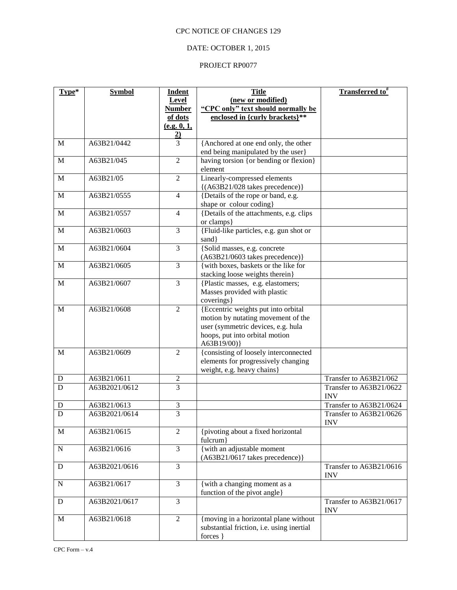# DATE: OCTOBER 1, 2015

| Type*        | <b>Symbol</b> | <b>Indent</b>               | <b>Title</b>                                        | <b>Transferred to</b> # |
|--------------|---------------|-----------------------------|-----------------------------------------------------|-------------------------|
|              |               | Level                       | (new or modified)                                   |                         |
|              |               | <b>Number</b>               | "CPC only" text should normally be                  |                         |
|              |               | of dots                     | enclosed in {curly brackets}**                      |                         |
|              |               | (e.g. 0, 1,                 |                                                     |                         |
| M            | A63B21/0442   | $\frac{2}{3}$               | {Anchored at one end only, the other                |                         |
|              |               |                             | end being manipulated by the user}                  |                         |
| M            | A63B21/045    | $\overline{2}$              | having torsion {or bending or flexion}              |                         |
|              |               |                             | element                                             |                         |
| $\mathbf M$  | A63B21/05     | $\overline{2}$              | Linearly-compressed elements                        |                         |
|              |               |                             | $\{(A63B21/028 \text{ takes precedence})\}$         |                         |
| M            | A63B21/0555   | $\overline{4}$              | {Details of the rope or band, e.g.                  |                         |
|              |               |                             | shape or colour coding}                             |                         |
| M            | A63B21/0557   | $\overline{4}$              | {Details of the attachments, e.g. clips             |                         |
|              |               |                             | or clamps}                                          |                         |
| $\mathbf M$  | A63B21/0603   | 3                           | {Fluid-like particles, e.g. gun shot or             |                         |
| M            | A63B21/0604   | 3                           | sand }<br>{Solid masses, e.g. concrete              |                         |
|              |               |                             | (A63B21/0603 takes precedence)}                     |                         |
| M            | A63B21/0605   | 3                           | {with boxes, baskets or the like for                |                         |
|              |               |                             | stacking loose weights therein}                     |                         |
| $\mathbf{M}$ | A63B21/0607   | 3                           | {Plastic masses, e.g. elastomers;                   |                         |
|              |               |                             | Masses provided with plastic                        |                         |
|              |               |                             | coverings}                                          |                         |
| M            | A63B21/0608   | $\overline{2}$              | {Eccentric weights put into orbital                 |                         |
|              |               |                             | motion by nutating movement of the                  |                         |
|              |               |                             | user (symmetric devices, e.g. hula                  |                         |
|              |               |                             | hoops, put into orbital motion                      |                         |
| M            | A63B21/0609   | $\overline{2}$              | A63B19/00)<br>{consisting of loosely interconnected |                         |
|              |               |                             | elements for progressively changing                 |                         |
|              |               |                             | weight, e.g. heavy chains}                          |                         |
| D            | A63B21/0611   | $\boldsymbol{2}$            |                                                     | Transfer to A63B21/062  |
| D            | A63B2021/0612 | 3                           |                                                     | Transfer to A63B21/0622 |
|              |               |                             |                                                     | <b>INV</b>              |
| D            | A63B21/0613   | $\ensuremath{\mathfrak{Z}}$ |                                                     | Transfer to A63B21/0624 |
| $\mathbf D$  | A63B2021/0614 | $\overline{3}$              |                                                     | Transfer to A63B21/0626 |
|              |               |                             |                                                     | <b>INV</b>              |
| $\mathbf M$  | A63B21/0615   | $\overline{2}$              | {pivoting about a fixed horizontal                  |                         |
| ${\bf N}$    | A63B21/0616   | 3                           | fulcrum}<br>{ with an adjustable moment             |                         |
|              |               |                             | (A63B21/0617 takes precedence)}                     |                         |
| ${\bf D}$    | A63B2021/0616 | 3                           |                                                     | Transfer to A63B21/0616 |
|              |               |                             |                                                     | <b>INV</b>              |
| ${\bf N}$    | A63B21/0617   | 3                           | {with a changing moment as a                        |                         |
|              |               |                             | function of the pivot angle}                        |                         |
| ${\bf D}$    | A63B2021/0617 | 3                           |                                                     | Transfer to A63B21/0617 |
|              |               |                             |                                                     | <b>INV</b>              |
| $\mathbf M$  | A63B21/0618   | $\mathbf{2}$                | {moving in a horizontal plane without               |                         |
|              |               |                             | substantial friction, i.e. using inertial           |                         |
|              |               |                             | forces }                                            |                         |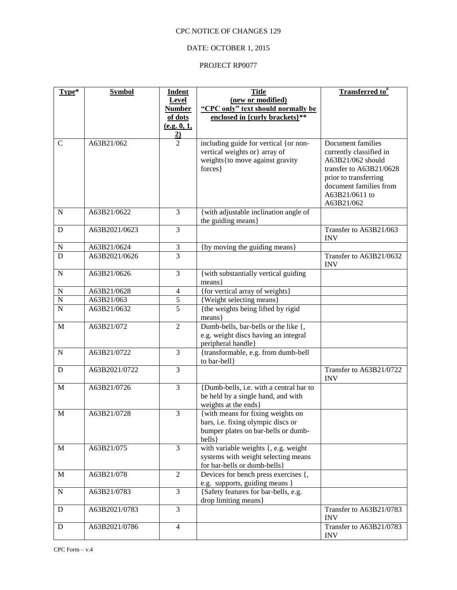# DATE: OCTOBER 1, 2015

| Type*                      | <b>Symbol</b>                | <b>Indent</b>                    | <b>Title</b>                                                       | <b>Transferred to</b> <sup>#</sup>           |
|----------------------------|------------------------------|----------------------------------|--------------------------------------------------------------------|----------------------------------------------|
|                            |                              | Level                            | (new or modified)                                                  |                                              |
|                            |                              | <b>Number</b>                    | "CPC only" text should normally be                                 |                                              |
|                            |                              | of dots                          | enclosed in {curly brackets}**                                     |                                              |
|                            |                              | (e.g. 0, 1,                      |                                                                    |                                              |
|                            |                              | $\frac{2}{2}$                    |                                                                    |                                              |
| $\mathbf C$                | A63B21/062                   |                                  | including guide for vertical {or non-                              | Document families                            |
|                            |                              |                                  | vertical weights or} array of<br>weights { to move against gravity | currently classified in<br>A63B21/062 should |
|                            |                              |                                  | forces }                                                           | transfer to A63B21/0628                      |
|                            |                              |                                  |                                                                    | prior to transferring                        |
|                            |                              |                                  |                                                                    | document families from                       |
|                            |                              |                                  |                                                                    | A63B21/0611 to                               |
|                            |                              |                                  |                                                                    | A63B21/062                                   |
| N                          | A63B21/0622                  | 3                                | {with adjustable inclination angle of                              |                                              |
|                            |                              |                                  | the guiding means}                                                 |                                              |
| ${\bf D}$                  | A63B2021/0623                | 3                                |                                                                    | Transfer to A63B21/063                       |
|                            |                              |                                  |                                                                    | <b>INV</b>                                   |
| $\mathbf N$<br>$\mathbf D$ | A63B21/0624<br>A63B2021/0626 | $\mathfrak{Z}$<br>$\overline{3}$ | {by moving the guiding means}                                      | Transfer to A63B21/0632                      |
|                            |                              |                                  |                                                                    | <b>INV</b>                                   |
| ${\bf N}$                  | A63B21/0626                  | 3                                | {with substantially vertical guiding                               |                                              |
|                            |                              |                                  | means }                                                            |                                              |
| $\mathbf N$                | A63B21/0628                  | $\overline{4}$                   | {for vertical array of weights}                                    |                                              |
| $\overline{N}$             | A63B21/063                   | $\overline{5}$                   | {Weight selecting means}                                           |                                              |
| $\overline{N}$             | A63B21/0632                  | $\overline{5}$                   | {the weights being lifted by rigid                                 |                                              |
|                            |                              |                                  | means}                                                             |                                              |
| $\mathbf M$                | A63B21/072                   | $\overline{2}$                   | Dumb-bells, bar-bells or the like {,                               |                                              |
|                            |                              |                                  | e.g. weight discs having an integral                               |                                              |
| ${\bf N}$                  | A63B21/0722                  | $\overline{\mathbf{3}}$          | peripheral handle}<br>{transformable, e.g. from dumb-bell          |                                              |
|                            |                              |                                  | to bar-bell}                                                       |                                              |
| D                          | A63B2021/0722                | $\overline{3}$                   |                                                                    | Transfer to A63B21/0722                      |
|                            |                              |                                  |                                                                    | <b>INV</b>                                   |
| $\mathbf M$                | A63B21/0726                  | 3                                | {Dumb-bells, i.e. with a central bar to                            |                                              |
|                            |                              |                                  | be held by a single hand, and with                                 |                                              |
|                            |                              |                                  | weights at the ends}                                               |                                              |
| $\mathbf M$                | A63B21/0728                  | 3                                | {with means for fixing weights on                                  |                                              |
|                            |                              |                                  | bars, i.e. fixing olympic discs or                                 |                                              |
|                            |                              |                                  | bumper plates on bar-bells or dumb-                                |                                              |
|                            | A63B21/075                   | 3                                | bells }<br>with variable weights {, e.g. weight                    |                                              |
| M                          |                              |                                  | systems with weight selecting means                                |                                              |
|                            |                              |                                  | for bar-bells or dumb-bells}                                       |                                              |
| $\mathbf M$                | A63B21/078                   | $\overline{2}$                   | Devices for bench press exercises {,                               |                                              |
|                            |                              |                                  | e.g. supports, guiding means }                                     |                                              |
| ${\bf N}$                  | A63B21/0783                  | 3                                | {Safety features for bar-bells, e.g.                               |                                              |
|                            |                              |                                  | drop limiting means}                                               |                                              |
| D                          | A63B2021/0783                | 3                                |                                                                    | Transfer to A63B21/0783                      |
|                            |                              |                                  |                                                                    | <b>INV</b>                                   |
| D                          | A63B2021/0786                | $\overline{4}$                   |                                                                    | Transfer to A63B21/0783                      |
|                            |                              |                                  |                                                                    | <b>INV</b>                                   |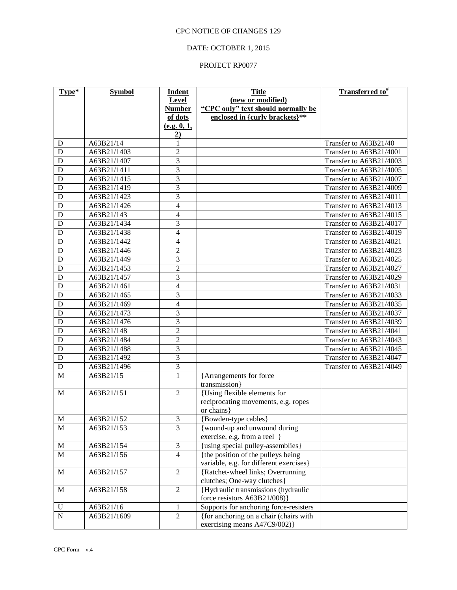## DATE: OCTOBER 1, 2015

| Type*       | <b>Symbol</b> | <b>Indent</b>  | <b>Title</b>                             | <b>Transferred to</b> # |
|-------------|---------------|----------------|------------------------------------------|-------------------------|
|             |               | Level          | (new or modified)                        |                         |
|             |               | <b>Number</b>  | "CPC only" text should normally be       |                         |
|             |               | of dots        | enclosed in {curly brackets}**           |                         |
|             |               | (e.g. 0, 1,    |                                          |                         |
|             |               | $\overline{2}$ |                                          |                         |
| D           | A63B21/14     | 1              |                                          | Transfer to A63B21/40   |
| D           | A63B21/1403   | $\overline{2}$ |                                          | Transfer to A63B21/4001 |
| D           | A63B21/1407   | 3              |                                          | Transfer to A63B21/4003 |
| D           | A63B21/1411   | $\overline{3}$ |                                          | Transfer to A63B21/4005 |
| D           | A63B21/1415   | $\overline{3}$ |                                          | Transfer to A63B21/4007 |
| D           | A63B21/1419   | $\overline{3}$ |                                          | Transfer to A63B21/4009 |
| D           | A63B21/1423   | $\overline{3}$ |                                          | Transfer to A63B21/4011 |
| D           | A63B21/1426   | $\overline{4}$ |                                          | Transfer to A63B21/4013 |
| D           | A63B21/143    | 4              |                                          | Transfer to A63B21/4015 |
| D           | A63B21/1434   | 3              |                                          | Transfer to A63B21/4017 |
| D           | A63B21/1438   | $\overline{4}$ |                                          | Transfer to A63B21/4019 |
| D           | A63B21/1442   | $\overline{4}$ |                                          | Transfer to A63B21/4021 |
| D           | A63B21/1446   | $\overline{2}$ |                                          | Transfer to A63B21/4023 |
| D           | A63B21/1449   | 3              |                                          | Transfer to A63B21/4025 |
| D           | A63B21/1453   | $\overline{2}$ |                                          | Transfer to A63B21/4027 |
| D           | A63B21/1457   | 3              |                                          | Transfer to A63B21/4029 |
| D           | A63B21/1461   | $\overline{4}$ |                                          | Transfer to A63B21/4031 |
| D           | A63B21/1465   | 3              |                                          | Transfer to A63B21/4033 |
| D           | A63B21/1469   | $\overline{4}$ |                                          | Transfer to A63B21/4035 |
| D           | A63B21/1473   | 3              |                                          | Transfer to A63B21/4037 |
| D           | A63B21/1476   | 3              |                                          | Transfer to A63B21/4039 |
| D           | A63B21/148    | $\overline{2}$ |                                          | Transfer to A63B21/4041 |
| D           | A63B21/1484   | $\overline{2}$ |                                          | Transfer to A63B21/4043 |
| D           | A63B21/1488   | 3              |                                          | Transfer to A63B21/4045 |
| D           | A63B21/1492   | $\overline{3}$ |                                          | Transfer to A63B21/4047 |
| D           | A63B21/1496   | $\overline{3}$ |                                          | Transfer to A63B21/4049 |
| M           | A63B21/15     | $\mathbf{1}$   | {Arrangements for force<br>transmission} |                         |
| M           | A63B21/151    | $\overline{2}$ | {Using flexible elements for             |                         |
|             |               |                | reciprocating movements, e.g. ropes      |                         |
|             |               |                | or chains }                              |                         |
| $\mathbf M$ | A63B21/152    | 3              | {Bowden-type cables}                     |                         |
| M           | A63B21/153    | $\overline{3}$ | {wound-up and unwound during             |                         |
|             |               |                | exercise, e.g. from a reel }             |                         |
| $\mathbf M$ | A63B21/154    | $\mathfrak 3$  | {using special pulley-assemblies}        |                         |
| $\mathbf M$ | A63B21/156    | $\overline{4}$ | {the position of the pulleys being       |                         |
|             |               |                | variable, e.g. for different exercises}  |                         |
| $\mathbf M$ | A63B21/157    | $\overline{2}$ | {Ratchet-wheel links; Overrunning        |                         |
|             |               |                | clutches; One-way clutches}              |                         |
| M           | A63B21/158    | $\overline{2}$ | {Hydraulic transmissions (hydraulic      |                         |
|             |               |                | force resistors A63B21/008)}             |                         |
| $\mathbf U$ | A63B21/16     | 1              | Supports for anchoring force-resisters   |                         |
| ${\bf N}$   | A63B21/1609   | $\overline{2}$ | {for anchoring on a chair (chairs with   |                         |
|             |               |                | exercising means A47C9/002)}             |                         |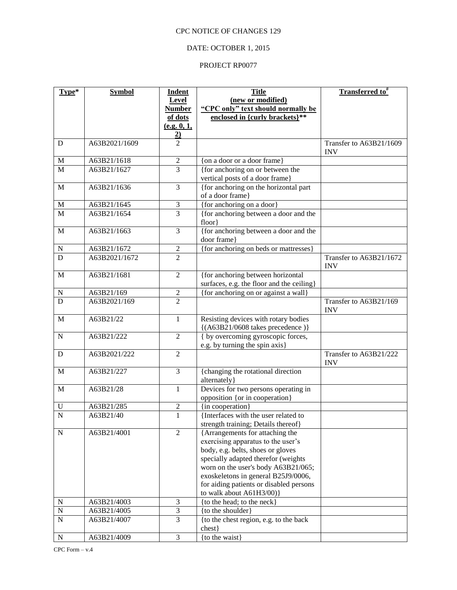# DATE: OCTOBER 1, 2015

| Type*          | <b>Symbol</b> | <b>Indent</b>               | <b>Title</b>                                                               | <b>Transferred to</b> <sup>#</sup>    |
|----------------|---------------|-----------------------------|----------------------------------------------------------------------------|---------------------------------------|
|                |               | Level                       | (new or modified)                                                          |                                       |
|                |               | <b>Number</b>               | "CPC only" text should normally be                                         |                                       |
|                |               | of dots                     | enclosed in {curly brackets}**                                             |                                       |
|                |               | (e.g. 0, 1,                 |                                                                            |                                       |
|                |               | $\overline{2)}$             |                                                                            |                                       |
| D              | A63B2021/1609 | $\overline{2}$              |                                                                            | Transfer to A63B21/1609<br><b>INV</b> |
| M              | A63B21/1618   | $\sqrt{2}$                  | {on a door or a door frame}                                                |                                       |
| M              | A63B21/1627   | $\overline{3}$              | {for anchoring on or between the                                           |                                       |
|                |               |                             | vertical posts of a door frame}                                            |                                       |
| M              | A63B21/1636   | $\overline{3}$              | {for anchoring on the horizontal part                                      |                                       |
|                |               |                             | of a door frame}                                                           |                                       |
| $\mathbf M$    | A63B21/1645   | $\ensuremath{\mathfrak{Z}}$ | {for anchoring on a door}                                                  |                                       |
| $\overline{M}$ | A63B21/1654   | $\overline{3}$              | {for anchoring between a door and the                                      |                                       |
|                |               |                             | floor}                                                                     |                                       |
| M              | A63B21/1663   | 3                           | {for anchoring between a door and the                                      |                                       |
|                |               |                             | door frame}                                                                |                                       |
| ${\bf N}$      | A63B21/1672   | $\boldsymbol{2}$            | {for anchoring on beds or mattresses}                                      |                                       |
| D              | A63B2021/1672 | $\overline{2}$              |                                                                            | Transfer to A63B21/1672<br><b>INV</b> |
| M              | A63B21/1681   | $\overline{2}$              | {for anchoring between horizontal                                          |                                       |
|                |               |                             | surfaces, e.g. the floor and the ceiling}                                  |                                       |
| N              | A63B21/169    | $\overline{c}$              | {for anchoring on or against a wall}                                       |                                       |
| $\overline{D}$ | A63B2021/169  | $\overline{2}$              |                                                                            | Transfer to A63B21/169<br><b>INV</b>  |
| $\mathbf M$    | A63B21/22     | $\mathbf{1}$                | Resisting devices with rotary bodies<br>$\{(A63B21/0608 \times 10^{10})\}$ |                                       |
| $\mathbf N$    | A63B21/222    | $\mathfrak{2}$              | { by overcoming gyroscopic forces,                                         |                                       |
|                |               |                             | e.g. by turning the spin axis}                                             |                                       |
| D              | A63B2021/222  | $\boldsymbol{2}$            |                                                                            | Transfer to A63B21/222<br><b>INV</b>  |
| $\mathbf M$    | A63B21/227    | 3                           | {changing the rotational direction<br>alternately}                         |                                       |
| $\mathbf M$    | A63B21/28     | $\mathbf{1}$                | Devices for two persons operating in                                       |                                       |
|                |               |                             | opposition {or in cooperation}                                             |                                       |
| $\mathbf U$    | A63B21/285    | $\boldsymbol{2}$            | {in cooperation}                                                           |                                       |
| $\overline{N}$ | A63B21/40     | $\mathbf{1}$                | {Interfaces with the user related to                                       |                                       |
|                |               |                             | strength training; Details thereof}                                        |                                       |
| ${\bf N}$      | A63B21/4001   | $\overline{2}$              | {Arrangements for attaching the                                            |                                       |
|                |               |                             | exercising apparatus to the user's                                         |                                       |
|                |               |                             | body, e.g. belts, shoes or gloves                                          |                                       |
|                |               |                             | specially adapted therefor (weights                                        |                                       |
|                |               |                             | worn on the user's body A63B21/065;                                        |                                       |
|                |               |                             | exoskeletons in general B25J9/0006,                                        |                                       |
|                |               |                             | for aiding patients or disabled persons                                    |                                       |
|                |               |                             | to walk about A61H3/00)}                                                   |                                       |
| $\mathbf N$    | A63B21/4003   | 3                           | {to the head; to the neck}                                                 |                                       |
| $\overline{N}$ | A63B21/4005   | $\overline{3}$              | {to the shoulder}                                                          |                                       |
| $\overline{N}$ | A63B21/4007   | $\overline{3}$              | {to the chest region, e.g. to the back                                     |                                       |
|                |               |                             | ${\rm chest}$ }                                                            |                                       |
| ${\bf N}$      | A63B21/4009   | 3                           | {to the waist}                                                             |                                       |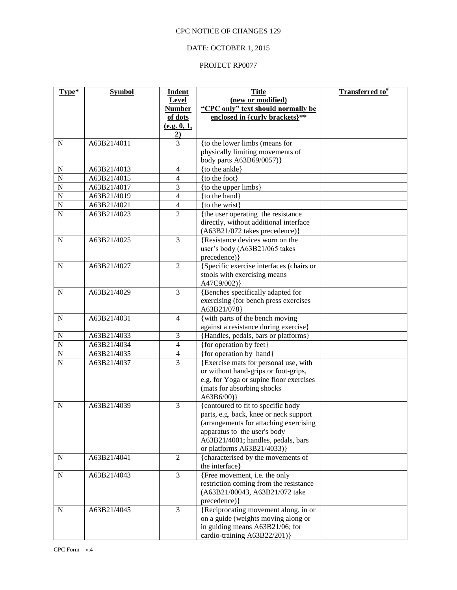# DATE: OCTOBER 1, 2015

| Type*          | <b>Symbol</b> | <b>Indent</b>            | <b>Title</b>                                | Transferred to <sup>#</sup> |
|----------------|---------------|--------------------------|---------------------------------------------|-----------------------------|
|                |               | Level                    | (new or modified)                           |                             |
|                |               | <b>Number</b>            | "CPC only" text should normally be          |                             |
|                |               | of dots                  | enclosed in {curly brackets}**              |                             |
|                |               | (e.g. 0, 1,              |                                             |                             |
|                |               | $\overline{2}$           |                                             |                             |
| $\mathbf N$    | A63B21/4011   | $\overline{3}$           | {to the lower limbs (means for              |                             |
|                |               |                          | physically limiting movements of            |                             |
|                |               |                          | body parts A63B69/0057)}                    |                             |
| N              | A63B21/4013   | 4                        | {to the ankle}                              |                             |
| ${\bf N}$      | A63B21/4015   | $\overline{4}$           | {to the foot}                               |                             |
| $\overline{N}$ | A63B21/4017   | 3                        | {to the upper limbs}                        |                             |
| $\mathbf N$    | A63B21/4019   | $\overline{4}$           | {to the hand}                               |                             |
| ${\bf N}$      | A63B21/4021   | $\overline{4}$           | {to the wrist}                              |                             |
| $\mathbf N$    | A63B21/4023   | $\overline{2}$           | {the user operating the resistance          |                             |
|                |               |                          | directly, without additional interface      |                             |
|                |               |                          | (A63B21/072 takes precedence)}              |                             |
| $\mathbf N$    | A63B21/4025   | $\overline{3}$           | {Resistance devices worn on the             |                             |
|                |               |                          | user's body (A63B21/065 takes               |                             |
|                | A63B21/4027   | $\overline{2}$           | precedence) }                               |                             |
| $\mathbf N$    |               |                          | {Specific exercise interfaces (chairs or    |                             |
|                |               |                          | stools with exercising means<br>A47C9/002)} |                             |
| N              | A63B21/4029   | 3                        | {Benches specifically adapted for           |                             |
|                |               |                          | exercising (for bench press exercises       |                             |
|                |               |                          | A63B21/078}                                 |                             |
| N              | A63B21/4031   | 4                        | {with parts of the bench moving             |                             |
|                |               |                          | against a resistance during exercise}       |                             |
| ${\bf N}$      | A63B21/4033   | 3                        | {Handles, pedals, bars or platforms}        |                             |
| $\mathbf N$    | A63B21/4034   | $\overline{4}$           | {for operation by feet}                     |                             |
| $\mathbf N$    | A63B21/4035   | $\overline{\mathcal{L}}$ | {for operation by hand}                     |                             |
| $\mathbf N$    | A63B21/4037   | $\overline{3}$           | {Exercise mats for personal use, with       |                             |
|                |               |                          | or without hand-grips or foot-grips,        |                             |
|                |               |                          | e.g. for Yoga or supine floor exercises     |                             |
|                |               |                          | (mats for absorbing shocks                  |                             |
|                |               |                          | A63B6/00)                                   |                             |
| ${\bf N}$      | A63B21/4039   | $\overline{3}$           | {contoured to fit to specific body          |                             |
|                |               |                          | parts, e.g. back, knee or neck support      |                             |
|                |               |                          | (arrangements for attaching exercising      |                             |
|                |               |                          | apparatus to the user's body                |                             |
|                |               |                          | A63B21/4001; handles, pedals, bars          |                             |
|                |               |                          | or platforms A63B21/4033)}                  |                             |
| N              | A63B21/4041   | $\overline{2}$           | {characterised by the movements of          |                             |
|                |               |                          | the interface}                              |                             |
| ${\bf N}$      | A63B21/4043   | $\overline{3}$           | {Free movement, i.e. the only               |                             |
|                |               |                          | restriction coming from the resistance      |                             |
|                |               |                          | (A63B21/00043, A63B21/072 take              |                             |
|                |               |                          | precedence) }                               |                             |
| N              | A63B21/4045   | 3                        | {Reciprocating movement along, in or        |                             |
|                |               |                          | on a guide (weights moving along or         |                             |
|                |               |                          | in guiding means A63B21/06; for             |                             |
|                |               |                          | cardio-training A63B22/201)}                |                             |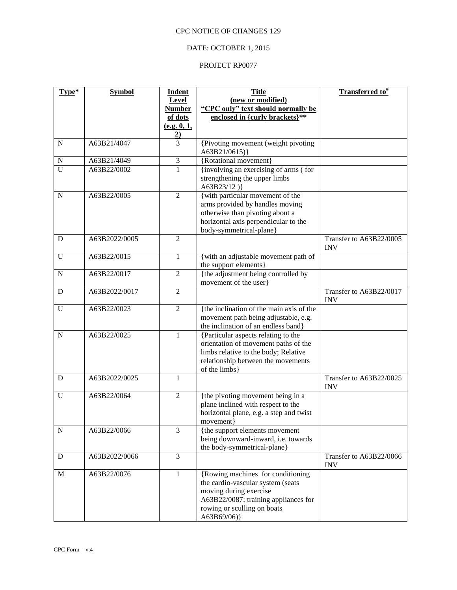# DATE: OCTOBER 1, 2015

| Type*       | <b>Symbol</b> | <b>Indent</b>  | <b>Title</b>                                                                 | <b>Transferred to</b> <sup>#</sup>    |
|-------------|---------------|----------------|------------------------------------------------------------------------------|---------------------------------------|
|             |               | Level          | (new or modified)                                                            |                                       |
|             |               | <b>Number</b>  | "CPC only" text should normally be                                           |                                       |
|             |               | of dots        | enclosed in {curly brackets}**                                               |                                       |
|             |               | (e.g. 0, 1,    |                                                                              |                                       |
| $\mathbf N$ | A63B21/4047   | $\frac{2}{3}$  | {Pivoting movement (weight pivoting<br>A63B21/0615)}                         |                                       |
| $\mathbf N$ | A63B21/4049   | $\mathfrak 3$  | {Rotational movement}                                                        |                                       |
| U           | A63B22/0002   | $\mathbf{1}$   | {involving an exercising of arms (for                                        |                                       |
|             |               |                | strengthening the upper limbs<br>A63B23/12)}                                 |                                       |
| $\mathbf N$ | A63B22/0005   | $\overline{2}$ | {with particular movement of the<br>arms provided by handles moving          |                                       |
|             |               |                | otherwise than pivoting about a                                              |                                       |
|             |               |                | horizontal axis perpendicular to the                                         |                                       |
|             |               |                | body-symmetrical-plane}                                                      |                                       |
| D           | A63B2022/0005 | $\overline{2}$ |                                                                              | Transfer to A63B22/0005<br><b>INV</b> |
| $\mathbf U$ | A63B22/0015   | $\mathbf{1}$   | { with an adjustable movement path of<br>the support elements}               |                                       |
| ${\bf N}$   | A63B22/0017   | $\mathfrak{2}$ | {the adjustment being controlled by<br>movement of the user                  |                                       |
| D           | A63B2022/0017 | $\overline{2}$ |                                                                              | Transfer to A63B22/0017<br><b>INV</b> |
| $\mathbf U$ | A63B22/0023   | $\overline{2}$ | {the inclination of the main axis of the                                     |                                       |
|             |               |                | movement path being adjustable, e.g.                                         |                                       |
|             |               |                | the inclination of an endless band}                                          |                                       |
| $\mathbf N$ | A63B22/0025   | $\mathbf{1}$   | {Particular aspects relating to the                                          |                                       |
|             |               |                | orientation of movement paths of the<br>limbs relative to the body; Relative |                                       |
|             |               |                | relationship between the movements                                           |                                       |
|             |               |                | of the limbs}                                                                |                                       |
| D           | A63B2022/0025 | $\mathbf{1}$   |                                                                              | Transfer to A63B22/0025<br><b>INV</b> |
| U           | A63B22/0064   | $\overline{2}$ | {the pivoting movement being in a                                            |                                       |
|             |               |                | plane inclined with respect to the                                           |                                       |
|             |               |                | horizontal plane, e.g. a step and twist                                      |                                       |
|             |               |                | movement                                                                     |                                       |
| ${\bf N}$   | A63B22/0066   | $\overline{3}$ | {the support elements movement                                               |                                       |
|             |               |                | being downward-inward, i.e. towards                                          |                                       |
|             |               |                | the body-symmetrical-plane}                                                  |                                       |
| D           | A63B2022/0066 | 3              |                                                                              | Transfer to A63B22/0066<br><b>INV</b> |
| M           | A63B22/0076   | $\mathbf{1}$   | {Rowing machines for conditioning<br>the cardio-vascular system (seats       |                                       |
|             |               |                | moving during exercise                                                       |                                       |
|             |               |                | A63B22/0087; training appliances for                                         |                                       |
|             |               |                | rowing or sculling on boats                                                  |                                       |
|             |               |                | A63B69/06)}                                                                  |                                       |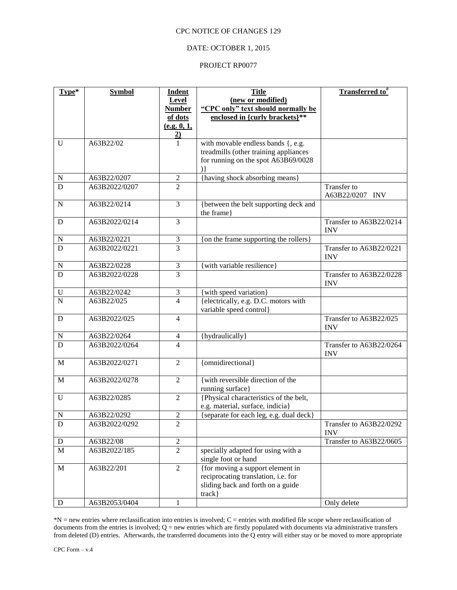### DATE: OCTOBER 1, 2015

### PROJECT RP0077

| Type*          | <b>Symbol</b> | <b>Indent</b>        | <b>Title</b>                                                    | Transferred to#                       |
|----------------|---------------|----------------------|-----------------------------------------------------------------|---------------------------------------|
|                |               | Level                | (new or modified)                                               |                                       |
|                |               | <b>Number</b>        | "CPC only" text should normally be                              |                                       |
|                |               | of dots              | enclosed in {curly brackets}**                                  |                                       |
|                |               | (e.g. 0, 1,          |                                                                 |                                       |
| U              | A63B22/02     | $\overline{2)}$<br>1 | with movable endless bands {, e.g.                              |                                       |
|                |               |                      | treadmills (other training appliances                           |                                       |
|                |               |                      | for running on the spot A63B69/0028                             |                                       |
|                |               |                      | $\mathcal{E}$                                                   |                                       |
| ${\bf N}$      | A63B22/0207   | $\mathfrak{2}$       | {having shock absorbing means}                                  |                                       |
| D              | A63B2022/0207 | $\overline{2}$       |                                                                 | <b>Transfer to</b>                    |
|                |               |                      |                                                                 | A63B22/0207 INV                       |
| $\mathbf N$    | A63B22/0214   | 3                    | {between the belt supporting deck and<br>the frame}             |                                       |
| D              | A63B2022/0214 | $\overline{3}$       |                                                                 | Transfer to A63B22/0214<br><b>INV</b> |
| ${\bf N}$      | A63B22/0221   | $\mathfrak{Z}$       | {on the frame supporting the rollers}                           |                                       |
| D              | A63B2022/0221 | $\overline{3}$       |                                                                 | Transfer to A63B22/0221               |
|                |               |                      |                                                                 | <b>INV</b>                            |
| N              | A63B22/0228   | $\mathfrak{Z}$       | {with variable resilience}                                      |                                       |
| $\overline{D}$ | A63B2022/0228 | 3                    |                                                                 | Transfer to A63B22/0228<br><b>INV</b> |
| ${\bf U}$      | A63B22/0242   | 3                    | {with speed variation}                                          |                                       |
| $\overline{N}$ | A63B22/025    | $\overline{4}$       | {electrically, e.g. D.C. motors with<br>variable speed control} |                                       |
| D              | A63B2022/025  | 4                    |                                                                 | Transfer to A63B22/025<br><b>INV</b>  |
| N              | A63B22/0264   | 4                    | {hydraulically}                                                 |                                       |
| $\overline{D}$ | A63B2022/0264 | $\overline{4}$       |                                                                 | Transfer to A63B22/0264<br><b>INV</b> |
| M              | A63B2022/0271 | $\overline{2}$       | {omnidirectional}                                               |                                       |
| $\mathbf M$    | A63B2022/0278 | $\mathbf{2}$         | {with reversible direction of the<br>running surface}           |                                       |
| $\mathbf U$    | A63B22/0285   | $\overline{2}$       | {Physical characteristics of the belt,                          |                                       |
|                |               |                      | e.g. material, surface, indicia}                                |                                       |
| $\mathbf N$    | A63B22/0292   | $\overline{2}$       | {separate for each leg, e.g. dual deck}                         |                                       |
| D              | A63B2022/0292 | $\mathfrak{2}$       |                                                                 | Transfer to A63B22/0292<br><b>INV</b> |
| ${\rm D}$      | A63B22/08     | $\overline{2}$       |                                                                 | Transfer to A63B22/0605               |
| $\mathbf M$    | A63B2022/185  | $\overline{2}$       | specially adapted for using with a<br>single foot or hand       |                                       |
| M              | A63B22/201    | $\overline{2}$       | {for moving a support element in                                |                                       |
|                |               |                      | reciprocating translation, i.e. for                             |                                       |
|                |               |                      | sliding back and forth on a guide                               |                                       |
|                |               |                      | $track\}$                                                       |                                       |
| D              | A63B2053/0404 | 1                    |                                                                 | Only delete                           |

\*N = new entries where reclassification into entries is involved; C = entries with modified file scope where reclassification of documents from the entries is involved; Q = new entries which are firstly populated with documents via administrative transfers from deleted (D) entries. Afterwards, the transferred documents into the Q entry will either stay or be moved to more appropriate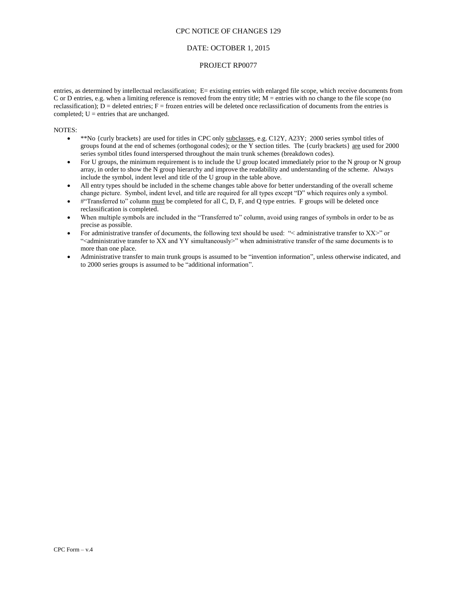### DATE: OCTOBER 1, 2015

### PROJECT RP0077

entries, as determined by intellectual reclassification; E= existing entries with enlarged file scope, which receive documents from C or D entries, e.g. when a limiting reference is removed from the entry title; M = entries with no change to the file scope (no reclassification);  $D =$  deleted entries;  $F =$  frozen entries will be deleted once reclassification of documents from the entries is completed;  $U =$  entries that are unchanged.

#### NOTES:

- \*\*No {curly brackets} are used for titles in CPC only subclasses, e.g. C12Y, A23Y; 2000 series symbol titles of groups found at the end of schemes (orthogonal codes); or the Y section titles. The {curly brackets} are used for 2000 series symbol titles found interspersed throughout the main trunk schemes (breakdown codes).
- For U groups, the minimum requirement is to include the U group located immediately prior to the N group or N group array, in order to show the N group hierarchy and improve the readability and understanding of the scheme. Always include the symbol, indent level and title of the U group in the table above.
- All entry types should be included in the scheme changes table above for better understanding of the overall scheme change picture. Symbol, indent level, and title are required for all types except "D" which requires only a symbol.
- #"Transferred to" column must be completed for all C, D, F, and Q type entries. F groups will be deleted once reclassification is completed.
- When multiple symbols are included in the "Transferred to" column, avoid using ranges of symbols in order to be as precise as possible.
- For administrative transfer of documents, the following text should be used: "< administrative transfer to XX>" or "<administrative transfer to XX and YY simultaneously>" when administrative transfer of the same documents is to more than one place.
- Administrative transfer to main trunk groups is assumed to be "invention information", unless otherwise indicated, and to 2000 series groups is assumed to be "additional information".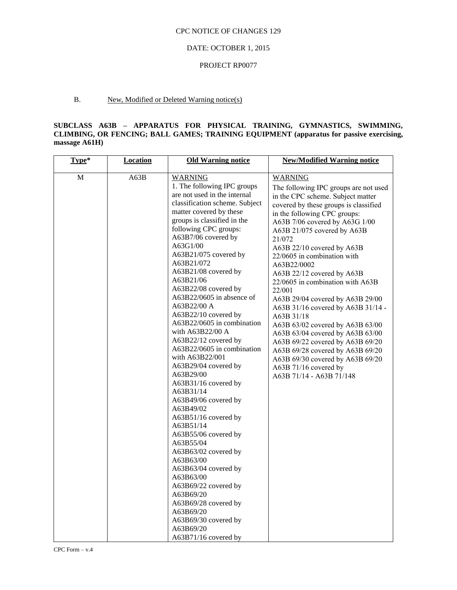### DATE: OCTOBER 1, 2015

#### PROJECT RP0077

### B. New, Modified or Deleted Warning notice(s)

### **SUBCLASS A63B – APPARATUS FOR PHYSICAL TRAINING, GYMNASTICS, SWIMMING, CLIMBING, OR FENCING; BALL GAMES; TRAINING EQUIPMENT (apparatus for passive exercising, massage A61H)**

| Type*        | <b>Location</b> | <b>Old Warning notice</b>                                                                                                                                                                                                                                                                                                                                                                                                                                                                                                                                                                                                                                                                                                                                                                                                                                                                                                                          | <b>New/Modified Warning notice</b>                                                                                                                                                                                                                                                                                                                                                                                                                                                                                                                                                                                                                                                                                                        |
|--------------|-----------------|----------------------------------------------------------------------------------------------------------------------------------------------------------------------------------------------------------------------------------------------------------------------------------------------------------------------------------------------------------------------------------------------------------------------------------------------------------------------------------------------------------------------------------------------------------------------------------------------------------------------------------------------------------------------------------------------------------------------------------------------------------------------------------------------------------------------------------------------------------------------------------------------------------------------------------------------------|-------------------------------------------------------------------------------------------------------------------------------------------------------------------------------------------------------------------------------------------------------------------------------------------------------------------------------------------------------------------------------------------------------------------------------------------------------------------------------------------------------------------------------------------------------------------------------------------------------------------------------------------------------------------------------------------------------------------------------------------|
| $\mathbf{M}$ | A63B            | <b>WARNING</b><br>1. The following IPC groups<br>are not used in the internal<br>classification scheme. Subject<br>matter covered by these<br>groups is classified in the<br>following CPC groups:<br>A63B7/06 covered by<br>A63G1/00<br>A63B21/075 covered by<br>A63B21/072<br>A63B21/08 covered by<br>A63B21/06<br>A63B22/08 covered by<br>A63B22/0605 in absence of<br>A63B22/00 A<br>A63B22/10 covered by<br>A63B22/0605 in combination<br>with A63B22/00 A<br>A63B22/12 covered by<br>A63B22/0605 in combination<br>with A63B22/001<br>A63B29/04 covered by<br>A63B29/00<br>A63B31/16 covered by<br>A63B31/14<br>A63B49/06 covered by<br>A63B49/02<br>A63B51/16 covered by<br>A63B51/14<br>A63B55/06 covered by<br>A63B55/04<br>A63B63/02 covered by<br>A63B63/00<br>A63B63/04 covered by<br>A63B63/00<br>A63B69/22 covered by<br>A63B69/20<br>A63B69/28 covered by<br>A63B69/20<br>A63B69/30 covered by<br>A63B69/20<br>A63B71/16 covered by | <b>WARNING</b><br>The following IPC groups are not used<br>in the CPC scheme. Subject matter<br>covered by these groups is classified<br>in the following CPC groups:<br>A63B 7/06 covered by A63G 1/00<br>A63B 21/075 covered by A63B<br>21/072<br>A63B 22/10 covered by A63B<br>22/0605 in combination with<br>A63B22/0002<br>A63B 22/12 covered by A63B<br>22/0605 in combination with A63B<br>22/001<br>A63B 29/04 covered by A63B 29/00<br>A63B 31/16 covered by A63B 31/14 -<br>A63B 31/18<br>A63B 63/02 covered by A63B 63/00<br>A63B 63/04 covered by A63B 63/00<br>A63B 69/22 covered by A63B 69/20<br>A63B 69/28 covered by A63B 69/20<br>A63B 69/30 covered by A63B 69/20<br>A63B 71/16 covered by<br>A63B 71/14 - A63B 71/148 |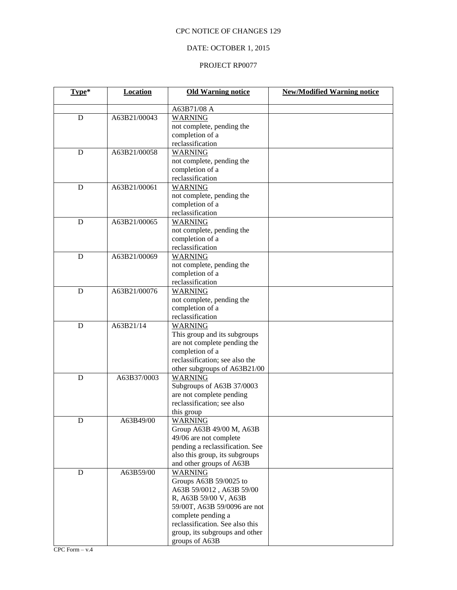# DATE: OCTOBER 1, 2015

| Type*       | <b>Location</b> | <b>Old Warning notice</b>       | <b>New/Modified Warning notice</b> |
|-------------|-----------------|---------------------------------|------------------------------------|
|             |                 | A63B71/08 A                     |                                    |
| D           | A63B21/00043    | <b>WARNING</b>                  |                                    |
|             |                 | not complete, pending the       |                                    |
|             |                 | completion of a                 |                                    |
|             |                 | reclassification                |                                    |
| D           | A63B21/00058    | <b>WARNING</b>                  |                                    |
|             |                 | not complete, pending the       |                                    |
|             |                 | completion of a                 |                                    |
|             |                 | reclassification                |                                    |
| D           | A63B21/00061    | <b>WARNING</b>                  |                                    |
|             |                 | not complete, pending the       |                                    |
|             |                 | completion of a                 |                                    |
|             |                 | reclassification                |                                    |
| D           | A63B21/00065    | <b>WARNING</b>                  |                                    |
|             |                 | not complete, pending the       |                                    |
|             |                 | completion of a                 |                                    |
|             |                 | reclassification                |                                    |
| D           | A63B21/00069    | <b>WARNING</b>                  |                                    |
|             |                 | not complete, pending the       |                                    |
|             |                 | completion of a                 |                                    |
|             |                 | reclassification                |                                    |
| D           | A63B21/00076    | <b>WARNING</b>                  |                                    |
|             |                 | not complete, pending the       |                                    |
|             |                 | completion of a                 |                                    |
|             |                 | reclassification                |                                    |
| $\mathbf D$ | A63B21/14       | <b>WARNING</b>                  |                                    |
|             |                 | This group and its subgroups    |                                    |
|             |                 | are not complete pending the    |                                    |
|             |                 | completion of a                 |                                    |
|             |                 | reclassification; see also the  |                                    |
|             |                 | other subgroups of A63B21/00    |                                    |
| D           | A63B37/0003     | WARNING                         |                                    |
|             |                 | Subgroups of A63B 37/0003       |                                    |
|             |                 | are not complete pending        |                                    |
|             |                 | reclassification; see also      |                                    |
|             |                 | this group                      |                                    |
| ${\rm D}$   | A63B49/00       | <b>WARNING</b>                  |                                    |
|             |                 | Group A63B 49/00 M, A63B        |                                    |
|             |                 | 49/06 are not complete          |                                    |
|             |                 | pending a reclassification. See |                                    |
|             |                 | also this group, its subgroups  |                                    |
|             |                 | and other groups of A63B        |                                    |
| D           | A63B59/00       | <b>WARNING</b>                  |                                    |
|             |                 | Groups A63B 59/0025 to          |                                    |
|             |                 | A63B 59/0012, A63B 59/00        |                                    |
|             |                 | R, A63B 59/00 V, A63B           |                                    |
|             |                 | 59/00T, A63B 59/0096 are not    |                                    |
|             |                 | complete pending a              |                                    |
|             |                 | reclassification. See also this |                                    |
|             |                 | group, its subgroups and other  |                                    |
|             |                 | groups of A63B                  |                                    |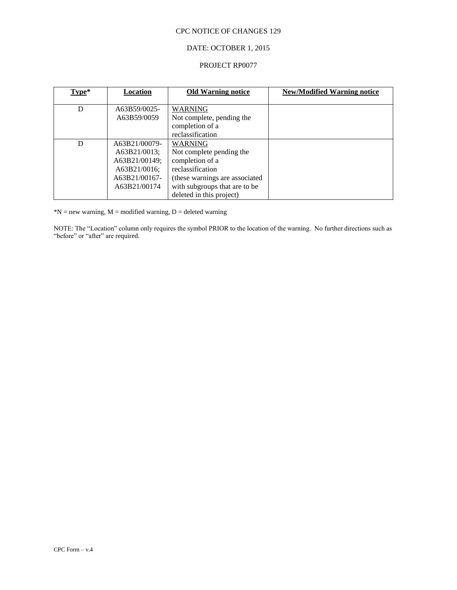# DATE: OCTOBER 1, 2015

#### PROJECT RP0077

| $Type*$ | <u>Location</u>                                                                                 | <b>Old Warning notice</b>                                                                                                                            | <b>New/Modified Warning notice</b> |
|---------|-------------------------------------------------------------------------------------------------|------------------------------------------------------------------------------------------------------------------------------------------------------|------------------------------------|
| D       | A63B59/0025-<br>A63B59/0059                                                                     | <b>WARNING</b><br>Not complete, pending the                                                                                                          |                                    |
|         |                                                                                                 | completion of a<br>reclassification                                                                                                                  |                                    |
| D       | A63B21/00079-<br>A63B21/0013;<br>A63B21/00149;<br>A63B21/0016;<br>A63B21/00167-<br>A63B21/00174 | <b>WARNING</b><br>Not complete pending the<br>completion of a<br>reclassification<br>(these warnings are associated<br>with subgroups that are to be |                                    |
|         |                                                                                                 | deleted in this project)                                                                                                                             |                                    |

 $*N$  = new warning,  $M$  = modified warning,  $D$  = deleted warning

NOTE: The "Location" column only requires the symbol PRIOR to the location of the warning. No further directions such as "before" or "after" are required.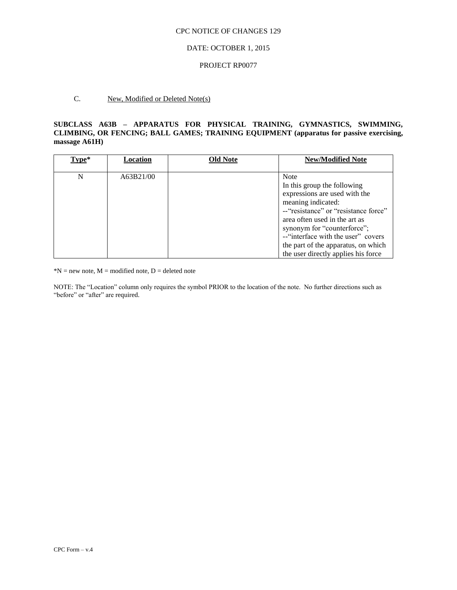### DATE: OCTOBER 1, 2015

### PROJECT RP0077

# C. New, Modified or Deleted Note(s)

## **SUBCLASS A63B – APPARATUS FOR PHYSICAL TRAINING, GYMNASTICS, SWIMMING, CLIMBING, OR FENCING; BALL GAMES; TRAINING EQUIPMENT (apparatus for passive exercising, massage A61H)**

| Type* | Location  | <b>Old Note</b> | <b>New/Modified Note</b>                                                                                                                                                                                                                                                                                                       |
|-------|-----------|-----------------|--------------------------------------------------------------------------------------------------------------------------------------------------------------------------------------------------------------------------------------------------------------------------------------------------------------------------------|
| N     | A63B21/00 |                 | <b>Note</b><br>In this group the following<br>expressions are used with the<br>meaning indicated:<br>-- "resistance" or "resistance force"<br>area often used in the art as<br>synonym for "counterforce";<br>--"interface with the user" covers<br>the part of the apparatus, on which<br>the user directly applies his force |

 $*N$  = new note,  $M$  = modified note,  $D$  = deleted note

NOTE: The "Location" column only requires the symbol PRIOR to the location of the note. No further directions such as "before" or "after" are required.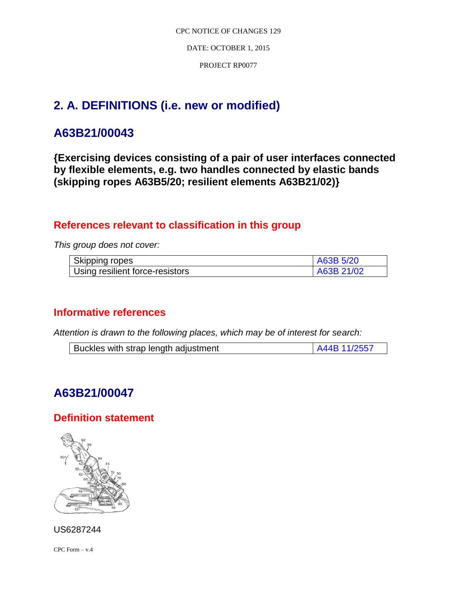DATE: OCTOBER 1, 2015

PROJECT RP0077

# **2. A. DEFINITIONS (i.e. new or modified)**

# **A63B21/00043**

**{Exercising devices consisting of a pair of user interfaces connected by flexible elements, e.g. two handles connected by elastic bands (skipping ropes A63B5/20; resilient elements A63B21/02)}**

# **References relevant to classification in this group**

*This group does not cover:*

| Skipping ropes                  | A63B 5/20  |
|---------------------------------|------------|
| Using resilient force-resistors | A63B 21/02 |

# **Informative references**

*Attention is drawn to the following places, which may be of interest for search:*

| Buckles with strap length adjustment | A44B 11/2557 |
|--------------------------------------|--------------|
|                                      |              |

# **A63B21/00047**

# **Definition statement**



CPC Form – v.4

US6287244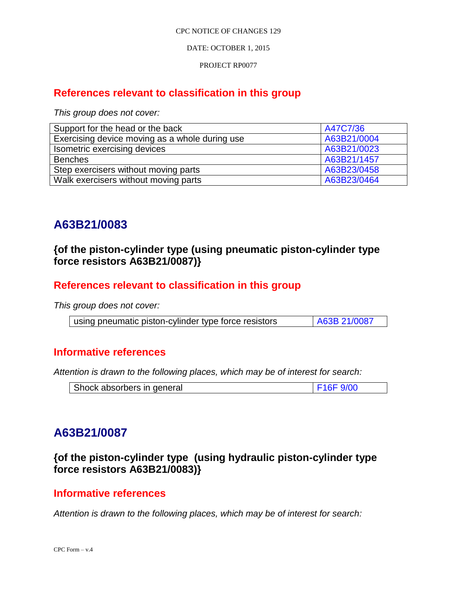DATE: OCTOBER 1, 2015

PROJECT RP0077

# **References relevant to classification in this group**

*This group does not cover:*

| Support for the head or the back               | A47C7/36    |
|------------------------------------------------|-------------|
| Exercising device moving as a whole during use | A63B21/0004 |
| Isometric exercising devices                   | A63B21/0023 |
| <b>Benches</b>                                 | A63B21/1457 |
| Step exercisers without moving parts           | A63B23/0458 |
| Walk exercisers without moving parts           | A63B23/0464 |

# **A63B21/0083**

# **{of the piston-cylinder type (using pneumatic piston-cylinder type force resistors A63B21/0087)}**

# **References relevant to classification in this group**

*This group does not cover:*

| using pneumatic piston-cylinder type force resistors | A63B 21/0087 |
|------------------------------------------------------|--------------|

# **Informative references**

*Attention is drawn to the following places, which may be of interest for search:*

| Shock absorbers in general | F16F9/00 |
|----------------------------|----------|
|----------------------------|----------|

# **A63B21/0087**

**{of the piston-cylinder type (using hydraulic piston-cylinder type force resistors A63B21/0083)}**

# **Informative references**

*Attention is drawn to the following places, which may be of interest for search:*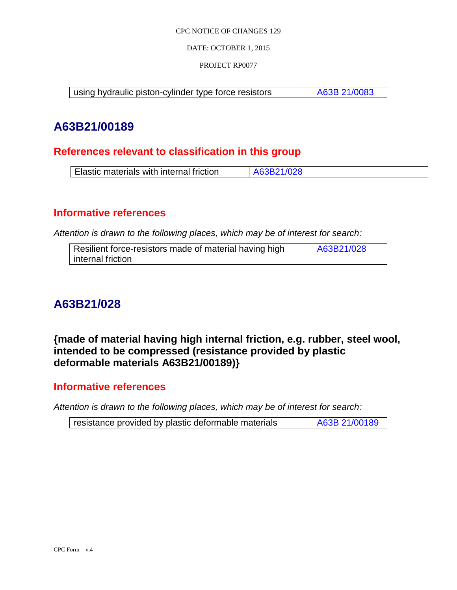DATE: OCTOBER 1, 2015

PROJECT RP0077

using hydraulic piston-cylinder type force resistors | A63B 21/0083

# **A63B21/00189**

# **References relevant to classification in this group**

| Elastic materials with internal friction | A63B21/028 |
|------------------------------------------|------------|
|------------------------------------------|------------|

# **Informative references**

*Attention is drawn to the following places, which may be of interest for search:*

| Resilient force-resistors made of material having high | A63B21/028 |
|--------------------------------------------------------|------------|
| internal friction                                      |            |

# **A63B21/028**

**{made of material having high internal friction, e.g. rubber, steel wool, intended to be compressed (resistance provided by plastic deformable materials A63B21/00189)}**

# **Informative references**

*Attention is drawn to the following places, which may be of interest for search:*

| A63B 21/00189<br>resistance provided by plastic deformable materials |
|----------------------------------------------------------------------|
|----------------------------------------------------------------------|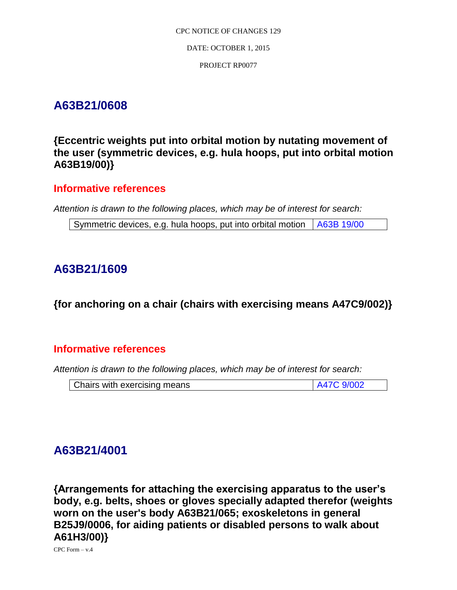# **A63B21/0608**

**{Eccentric weights put into orbital motion by nutating movement of the user (symmetric devices, e.g. hula hoops, put into orbital motion A63B19/00)}**

# **Informative references**

*Attention is drawn to the following places, which may be of interest for search:*

Symmetric devices, e.g. hula hoops, put into orbital motion  $\vert$  A63B 19/00

# **A63B21/1609**

**{for anchoring on a chair (chairs with exercising means A47C9/002)}**

# **Informative references**

*Attention is drawn to the following places, which may be of interest for search:*

| A47C 9/002<br>Chairs with exercising means |
|--------------------------------------------|
|--------------------------------------------|

# **A63B21/4001**

**{Arrangements for attaching the exercising apparatus to the user's body, e.g. belts, shoes or gloves specially adapted therefor (weights worn on the user's body A63B21/065; exoskeletons in general B25J9/0006, for aiding patients or disabled persons to walk about A61H3/00)}**

CPC Form – v.4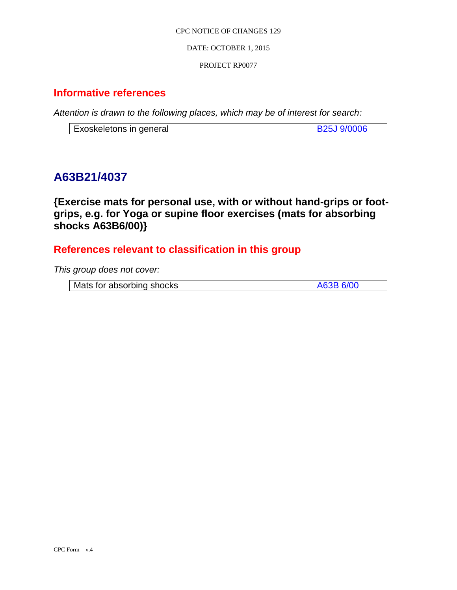DATE: OCTOBER 1, 2015

## PROJECT RP0077

# **Informative references**

*Attention is drawn to the following places, which may be of interest for search:*

# **A63B21/4037**

**{Exercise mats for personal use, with or without hand-grips or footgrips, e.g. for Yoga or supine floor exercises (mats for absorbing shocks A63B6/00)}** 

# **References relevant to classification in this group**

*This group does not cover:*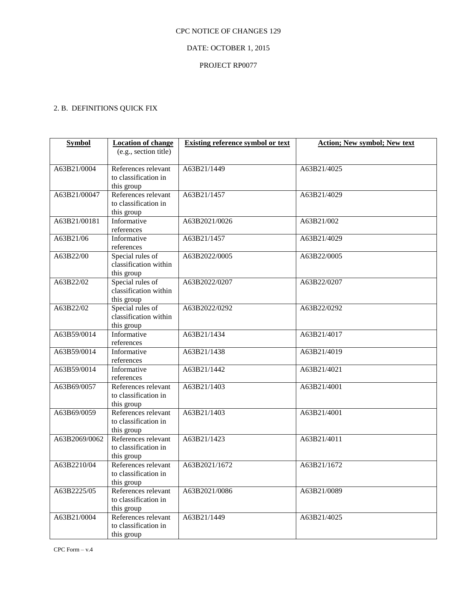# DATE: OCTOBER 1, 2015

# PROJECT RP0077

# 2. B. DEFINITIONS QUICK FIX

| <b>Symbol</b> | <b>Location of change</b>                   | <b>Existing reference symbol or text</b> | <b>Action; New symbol; New text</b> |
|---------------|---------------------------------------------|------------------------------------------|-------------------------------------|
|               | (e.g., section title)                       |                                          |                                     |
|               |                                             |                                          |                                     |
| A63B21/0004   | References relevant                         | A63B21/1449                              | A63B21/4025                         |
|               | to classification in                        |                                          |                                     |
|               | this group                                  |                                          |                                     |
| A63B21/00047  | References relevant                         | A63B21/1457                              | A63B21/4029                         |
|               | to classification in                        |                                          |                                     |
| A63B21/00181  | this group                                  |                                          |                                     |
|               | Informative                                 | A63B2021/0026                            | A63B21/002                          |
|               | references                                  |                                          |                                     |
| A63B21/06     | Informative                                 | A63B21/1457                              | A63B21/4029                         |
| A63B22/00     | references<br>Special rules of              | A63B2022/0005                            | A63B22/0005                         |
|               | classification within                       |                                          |                                     |
|               | this group                                  |                                          |                                     |
| A63B22/02     | Special rules of                            | A63B2022/0207                            | A63B22/0207                         |
|               | classification within                       |                                          |                                     |
|               | this group                                  |                                          |                                     |
| A63B22/02     | Special rules of                            | A63B2022/0292                            | A63B22/0292                         |
|               | classification within                       |                                          |                                     |
|               | this group                                  |                                          |                                     |
| A63B59/0014   | Informative                                 | A63B21/1434                              | A63B21/4017                         |
|               | references                                  |                                          |                                     |
| A63B59/0014   | Informative                                 | A63B21/1438                              | A63B21/4019                         |
|               | references                                  |                                          |                                     |
| A63B59/0014   | Informative                                 | A63B21/1442                              | A63B21/4021                         |
|               | references                                  |                                          |                                     |
| A63B69/0057   | References relevant                         | A63B21/1403                              | A63B21/4001                         |
|               | to classification in                        |                                          |                                     |
|               | this group                                  |                                          |                                     |
| A63B69/0059   | References relevant                         | A63B21/1403                              | A63B21/4001                         |
|               | to classification in                        |                                          |                                     |
|               | this group                                  |                                          |                                     |
| A63B2069/0062 | References relevant                         | A63B21/1423                              | A63B21/4011                         |
|               | to classification in                        |                                          |                                     |
|               | this group                                  |                                          |                                     |
| A63B2210/04   | References relevant                         | A63B2021/1672                            | A63B21/1672                         |
|               | to classification in                        |                                          |                                     |
|               | this group                                  |                                          |                                     |
| A63B2225/05   | References relevant<br>to classification in | A63B2021/0086                            | A63B21/0089                         |
|               | this group                                  |                                          |                                     |
| A63B21/0004   | References relevant                         | A63B21/1449                              | A63B21/4025                         |
|               | to classification in                        |                                          |                                     |
|               | this group                                  |                                          |                                     |
|               |                                             |                                          |                                     |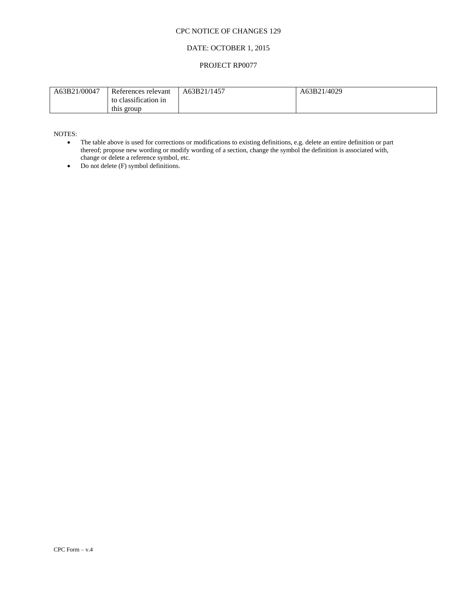# DATE: OCTOBER 1, 2015

### PROJECT RP0077

| A63B21/00047 | References relevant                | A63B21/1457 | A63B21/4029 |
|--------------|------------------------------------|-------------|-------------|
|              | to classification in<br>this group |             |             |
|              |                                    |             |             |

NOTES:

- The table above is used for corrections or modifications to existing definitions, e.g. delete an entire definition or part thereof; propose new wording or modify wording of a section, change the symbol the definition is associated with, change or delete a reference symbol, etc.
- $\bullet$  Do not delete (F) symbol definitions.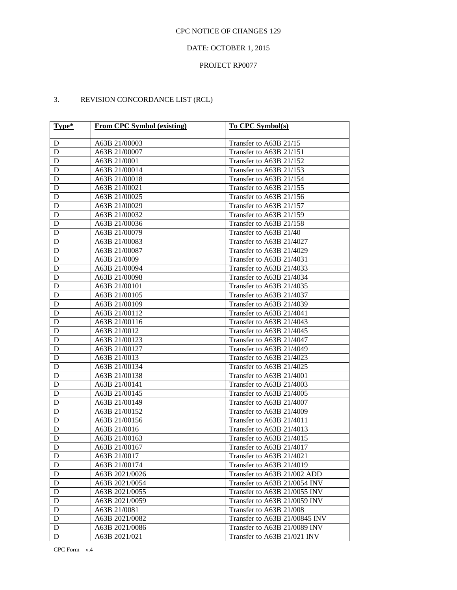# DATE: OCTOBER 1, 2015

## PROJECT RP0077

# 3. REVISION CONCORDANCE LIST (RCL)

| Type*            | <b>From CPC Symbol (existing)</b> | To CPC Symbol(s)              |
|------------------|-----------------------------------|-------------------------------|
| D                | A63B 21/00003                     | Transfer to A63B 21/15        |
| D                | A63B 21/00007                     | Transfer to A63B 21/151       |
| D                | A63B 21/0001                      | Transfer to A63B 21/152       |
| D                | A63B 21/00014                     | Transfer to A63B 21/153       |
| ${\bf D}$        | A63B 21/00018                     | Transfer to A63B 21/154       |
| ${\bf D}$        | A63B 21/00021                     | Transfer to A63B 21/155       |
| ${\bf D}$        | A63B 21/00025                     | Transfer to A63B 21/156       |
| ${\bf D}$        | A63B 21/00029                     | Transfer to A63B 21/157       |
| ${\bf D}$        | A63B 21/00032                     | Transfer to A63B 21/159       |
| ${\bf D}$        | A63B 21/00036                     | Transfer to A63B 21/158       |
| ${\bf D}$        | A63B 21/00079                     | Transfer to A63B 21/40        |
| ${\bf D}$        | A63B 21/00083                     | Transfer to A63B 21/4027      |
| ${\bf D}$        | A63B 21/00087                     | Transfer to A63B 21/4029      |
| ${\bf D}$        | A63B 21/0009                      | Transfer to A63B 21/4031      |
| ${\bf D}$        | A63B 21/00094                     | Transfer to A63B 21/4033      |
| ${\bf D}$        | A63B 21/00098                     | Transfer to A63B 21/4034      |
| ${\bf D}$        | A63B 21/00101                     | Transfer to A63B 21/4035      |
| ${\bf D}$        | A63B 21/00105                     | Transfer to A63B 21/4037      |
| ${\bf D}$        | A63B 21/00109                     | Transfer to A63B 21/4039      |
| ${\bf D}$        | A63B 21/00112                     | Transfer to A63B 21/4041      |
| ${\bf D}$        | A63B 21/00116                     | Transfer to A63B 21/4043      |
| ${\bf D}$        | A63B 21/0012                      | Transfer to A63B 21/4045      |
| ${\bf D}$        | A63B 21/00123                     | Transfer to A63B 21/4047      |
| ${\bf D}$        | A63B 21/00127                     | Transfer to A63B 21/4049      |
| ${\bf D}$        | A63B 21/0013                      | Transfer to A63B 21/4023      |
| ${\bf D}$        | A63B 21/00134                     | Transfer to A63B 21/4025      |
| ${\bf D}$        | A63B 21/00138                     | Transfer to A63B 21/4001      |
| ${\bf D}$        | A63B 21/00141                     | Transfer to A63B 21/4003      |
| ${\bf D}$        | A63B 21/00145                     | Transfer to A63B 21/4005      |
| ${\bf D}$        | A63B 21/00149                     | Transfer to A63B 21/4007      |
| ${\bf D}$        | A63B 21/00152                     | Transfer to A63B 21/4009      |
| ${\bf D}$        | A63B 21/00156                     | Transfer to A63B 21/4011      |
| ${\bf D}$        | A63B 21/0016                      | Transfer to A63B 21/4013      |
| D                | A63B 21/00163                     | Transfer to A63B 21/4015      |
| D                | A63B 21/00167                     | Transfer to A63B 21/4017      |
| $\Gamma_{\rm D}$ | A63B 21/0017                      | Transfer to A63B 21/4021      |
| D                | A63B 21/00174                     | Transfer to A63B 21/4019      |
| D                | A63B 2021/0026                    | Transfer to A63B 21/002 ADD   |
| D                | A63B 2021/0054                    | Transfer to A63B 21/0054 INV  |
| D                | A63B 2021/0055                    | Transfer to A63B 21/0055 INV  |
| D                | A63B 2021/0059                    | Transfer to A63B 21/0059 INV  |
| D                | A63B 21/0081                      | Transfer to A63B 21/008       |
| D                | A63B 2021/0082                    | Transfer to A63B 21/00845 INV |
| D                | A63B 2021/0086                    | Transfer to A63B 21/0089 INV  |
| D                | A63B 2021/021                     | Transfer to A63B 21/021 INV   |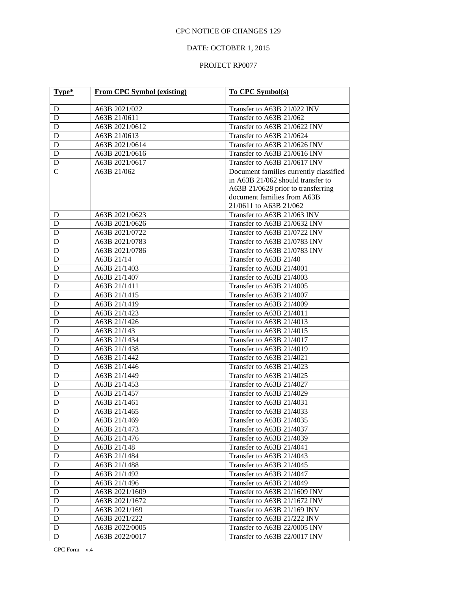# DATE: OCTOBER 1, 2015

| Type*         | From CPC Symbol (existing) | <b>To CPC Symbol(s)</b>                |
|---------------|----------------------------|----------------------------------------|
|               |                            |                                        |
| D             | A63B 2021/022              | Transfer to A63B 21/022 INV            |
| D             | A63B 21/0611               | Transfer to A63B 21/062                |
| D             | A63B 2021/0612             | Transfer to A63B 21/0622 INV           |
| D             | A63B 21/0613               | Transfer to A63B 21/0624               |
| D             | A63B 2021/0614             | Transfer to A63B 21/0626 INV           |
| D             | A63B 2021/0616             | Transfer to A63B 21/0616 INV           |
| D             | A63B 2021/0617             | Transfer to A63B 21/0617 INV           |
| $\mathcal{C}$ | A63B 21/062                | Document families currently classified |
|               |                            | in A63B 21/062 should transfer to      |
|               |                            | A63B 21/0628 prior to transferring     |
|               |                            | document families from A63B            |
|               |                            | 21/0611 to A63B 21/062                 |
| D             | A63B 2021/0623             | Transfer to A63B 21/063 INV            |
| D             | A63B 2021/0626             | Transfer to A63B 21/0632 INV           |
| D             | A63B 2021/0722             | Transfer to A63B 21/0722 INV           |
| D             | A63B 2021/0783             | Transfer to A63B 21/0783 INV           |
| D             | A63B 2021/0786             | Transfer to A63B 21/0783 INV           |
| D             | A63B 21/14                 | Transfer to A63B 21/40                 |
| D             | A63B 21/1403               | Transfer to A63B 21/4001               |
| D             | A63B 21/1407               | Transfer to A63B 21/4003               |
| D             | A63B 21/1411               | Transfer to A63B 21/4005               |
| D             | A63B 21/1415               | Transfer to A63B 21/4007               |
| D             | A63B 21/1419               | Transfer to A63B 21/4009               |
| D             | A63B 21/1423               | Transfer to A63B 21/4011               |
| D             | A63B 21/1426               | Transfer to A63B 21/4013               |
| D             | A63B 21/143                | Transfer to A63B 21/4015               |
| D             | A63B 21/1434               | Transfer to A63B 21/4017               |
| D             | A63B 21/1438               | Transfer to A63B 21/4019               |
| D             | A63B 21/1442               | Transfer to A63B 21/4021               |
| D             | A63B 21/1446               | Transfer to A63B 21/4023               |
| D             | A63B 21/1449               | Transfer to A63B 21/4025               |
| D             | A63B 21/1453               | Transfer to A63B 21/4027               |
| D             | A63B 21/1457               | Transfer to A63B 21/4029               |
| D             | A63B 21/1461               | Transfer to A63B 21/4031               |
| D             | A63B 21/1465               | Transfer to A63B 21/4033               |
| ${\bf D}$     | A63B 21/1469               | Transfer to A63B 21/4035               |
| D             | A63B 21/1473               | Transfer to A63B 21/4037               |
| D             | A63B 21/1476               | Transfer to A63B 21/4039               |
| D             | A63B 21/148                | Transfer to A63B 21/4041               |
| D             | A63B 21/1484               | Transfer to A63B 21/4043               |
| $\mathbf D$   | A63B 21/1488               | Transfer to A63B 21/4045               |
| D             | A63B 21/1492               | Transfer to A63B 21/4047               |
| D             | A63B 21/1496               | Transfer to A63B 21/4049               |
| D             | A63B 2021/1609             | Transfer to A63B 21/1609 INV           |
| D             | A63B 2021/1672             | Transfer to A63B 21/1672 INV           |
| D             | A63B 2021/169              | Transfer to A63B 21/169 INV            |
| D             | A63B 2021/222              | Transfer to A63B 21/222 INV            |
| D             | A63B 2022/0005             | Transfer to A63B 22/0005 INV           |
| D             | A63B 2022/0017             | Transfer to A63B 22/0017 INV           |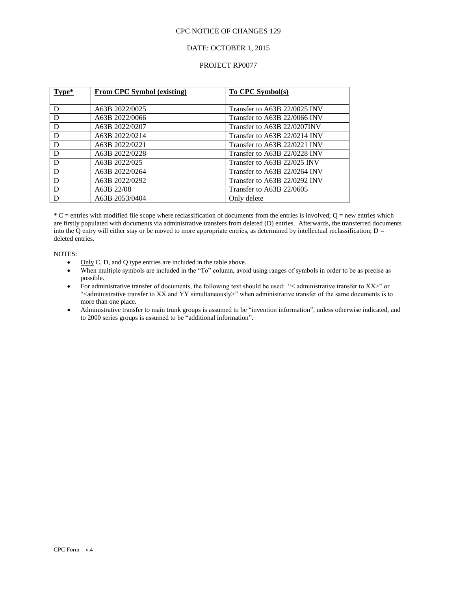## DATE: OCTOBER 1, 2015

### PROJECT RP0077

| Type* | <b>From CPC Symbol (existing)</b> | <b>To CPC Symbol(s)</b>      |
|-------|-----------------------------------|------------------------------|
|       |                                   |                              |
| D     | A63B 2022/0025                    | Transfer to A63B 22/0025 INV |
| D     | A63B 2022/0066                    | Transfer to A63B 22/0066 INV |
| D     | A63B 2022/0207                    | Transfer to A63B 22/0207INV  |
| D     | A63B 2022/0214                    | Transfer to A63B 22/0214 INV |
| D     | A63B 2022/0221                    | Transfer to A63B 22/0221 INV |
| D     | A63B 2022/0228                    | Transfer to A63B 22/0228 INV |
| D     | A63B 2022/025                     | Transfer to A63B 22/025 INV  |
| D     | A63B 2022/0264                    | Transfer to A63B 22/0264 INV |
| D     | A63B 2022/0292                    | Transfer to A63B 22/0292 INV |
| D     | A63B 22/08                        | Transfer to A63B 22/0605     |
|       | A63B 2053/0404                    | Only delete                  |

 $*C$  = entries with modified file scope where reclassification of documents from the entries is involved;  $Q$  = new entries which are firstly populated with documents via administrative transfers from deleted (D) entries. Afterwards, the transferred documents into the Q entry will either stay or be moved to more appropriate entries, as determined by intellectual reclassification;  $D =$ deleted entries.

NOTES:

- $\bullet$  Only C, D, and Q type entries are included in the table above.
- When multiple symbols are included in the "To" column, avoid using ranges of symbols in order to be as precise as possible.
- For administrative transfer of documents, the following text should be used: "< administrative transfer to XX>" or "<administrative transfer to XX and YY simultaneously>" when administrative transfer of the same documents is to more than one place.
- Administrative transfer to main trunk groups is assumed to be "invention information", unless otherwise indicated, and to 2000 series groups is assumed to be "additional information".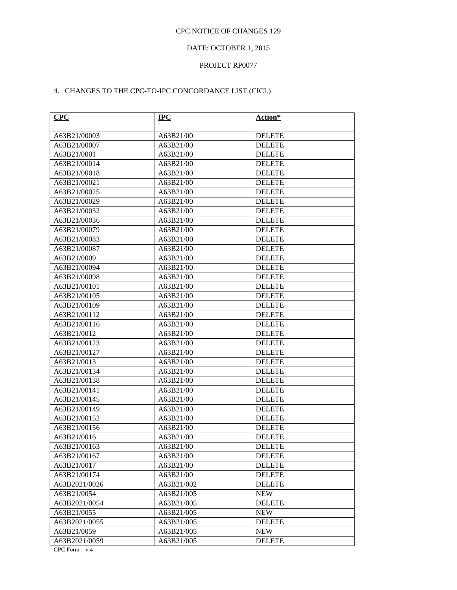# DATE: OCTOBER 1, 2015

## PROJECT RP0077

# 4. CHANGES TO THE CPC-TO-IPC CONCORDANCE LIST (CICL)

| CPC           | <b>IPC</b> | Action*       |
|---------------|------------|---------------|
| A63B21/00003  | A63B21/00  | <b>DELETE</b> |
| A63B21/00007  | A63B21/00  | <b>DELETE</b> |
| A63B21/0001   | A63B21/00  | <b>DELETE</b> |
| A63B21/00014  | A63B21/00  | <b>DELETE</b> |
| A63B21/00018  | A63B21/00  | <b>DELETE</b> |
| A63B21/00021  | A63B21/00  | <b>DELETE</b> |
| A63B21/00025  | A63B21/00  | <b>DELETE</b> |
| A63B21/00029  | A63B21/00  | <b>DELETE</b> |
| A63B21/00032  | A63B21/00  | <b>DELETE</b> |
| A63B21/00036  | A63B21/00  | <b>DELETE</b> |
| A63B21/00079  | A63B21/00  | <b>DELETE</b> |
| A63B21/00083  | A63B21/00  | <b>DELETE</b> |
| A63B21/00087  | A63B21/00  | <b>DELETE</b> |
| A63B21/0009   | A63B21/00  | <b>DELETE</b> |
| A63B21/00094  | A63B21/00  | <b>DELETE</b> |
| A63B21/00098  | A63B21/00  | <b>DELETE</b> |
| A63B21/00101  | A63B21/00  | <b>DELETE</b> |
| A63B21/00105  | A63B21/00  | <b>DELETE</b> |
| A63B21/00109  | A63B21/00  | <b>DELETE</b> |
| A63B21/00112  | A63B21/00  | <b>DELETE</b> |
| A63B21/00116  | A63B21/00  | <b>DELETE</b> |
| A63B21/0012   | A63B21/00  | <b>DELETE</b> |
| A63B21/00123  | A63B21/00  | <b>DELETE</b> |
| A63B21/00127  | A63B21/00  | <b>DELETE</b> |
| A63B21/0013   | A63B21/00  | <b>DELETE</b> |
| A63B21/00134  | A63B21/00  | <b>DELETE</b> |
| A63B21/00138  | A63B21/00  | <b>DELETE</b> |
| A63B21/00141  | A63B21/00  | <b>DELETE</b> |
| A63B21/00145  | A63B21/00  | <b>DELETE</b> |
| A63B21/00149  | A63B21/00  | <b>DELETE</b> |
| A63B21/00152  | A63B21/00  | <b>DELETE</b> |
| A63B21/00156  | A63B21/00  | <b>DELETE</b> |
| A63B21/0016   | A63B21/00  | <b>DELETE</b> |
| A63B21/00163  | A63B21/00  | <b>DELETE</b> |
| A63B21/00167  | A63B21/00  | <b>DELETE</b> |
| A63B21/0017   | A63B21/00  | <b>DELETE</b> |
| A63B21/00174  | A63B21/00  | <b>DELETE</b> |
| A63B2021/0026 | A63B21/002 | <b>DELETE</b> |
| A63B21/0054   | A63B21/005 | <b>NEW</b>    |
| A63B2021/0054 | A63B21/005 | <b>DELETE</b> |
| A63B21/0055   | A63B21/005 | <b>NEW</b>    |
| A63B2021/0055 | A63B21/005 | <b>DELETE</b> |
| A63B21/0059   | A63B21/005 | <b>NEW</b>    |
| A63B2021/0059 | A63B21/005 | <b>DELETE</b> |

CPC Form – v.4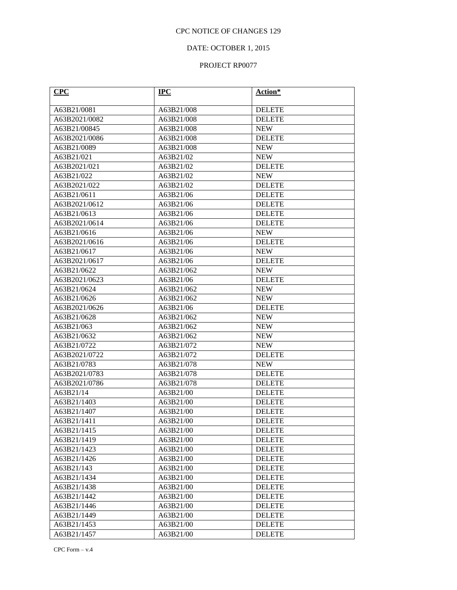# DATE: OCTOBER 1, 2015

| CPC           | $IPC$      | Action*       |
|---------------|------------|---------------|
| A63B21/0081   | A63B21/008 | <b>DELETE</b> |
| A63B2021/0082 | A63B21/008 | <b>DELETE</b> |
| A63B21/00845  | A63B21/008 | <b>NEW</b>    |
| A63B2021/0086 | A63B21/008 | <b>DELETE</b> |
| A63B21/0089   | A63B21/008 | <b>NEW</b>    |
| A63B21/021    | A63B21/02  | <b>NEW</b>    |
| A63B2021/021  | A63B21/02  | <b>DELETE</b> |
| A63B21/022    | A63B21/02  | <b>NEW</b>    |
| A63B2021/022  | A63B21/02  | <b>DELETE</b> |
| A63B21/0611   | A63B21/06  | <b>DELETE</b> |
| A63B2021/0612 | A63B21/06  | <b>DELETE</b> |
| A63B21/0613   | A63B21/06  | <b>DELETE</b> |
| A63B2021/0614 | A63B21/06  | <b>DELETE</b> |
| A63B21/0616   | A63B21/06  | <b>NEW</b>    |
| A63B2021/0616 | A63B21/06  | <b>DELETE</b> |
| A63B21/0617   | A63B21/06  | <b>NEW</b>    |
| A63B2021/0617 | A63B21/06  | <b>DELETE</b> |
| A63B21/0622   | A63B21/062 | <b>NEW</b>    |
| A63B2021/0623 | A63B21/06  | <b>DELETE</b> |
| A63B21/0624   | A63B21/062 | <b>NEW</b>    |
| A63B21/0626   | A63B21/062 | <b>NEW</b>    |
| A63B2021/0626 | A63B21/06  | <b>DELETE</b> |
| A63B21/0628   | A63B21/062 | <b>NEW</b>    |
| A63B21/063    | A63B21/062 | <b>NEW</b>    |
| A63B21/0632   | A63B21/062 | <b>NEW</b>    |
| A63B21/0722   | A63B21/072 | <b>NEW</b>    |
| A63B2021/0722 | A63B21/072 | <b>DELETE</b> |
| A63B21/0783   | A63B21/078 | <b>NEW</b>    |
| A63B2021/0783 | A63B21/078 | <b>DELETE</b> |
| A63B2021/0786 | A63B21/078 | <b>DELETE</b> |
| A63B21/14     | A63B21/00  | <b>DELETE</b> |
| A63B21/1403   | A63B21/00  | <b>DELETE</b> |
| A63B21/1407   | A63B21/00  | <b>DELETE</b> |
| A63B21/1411   | A63B21/00  | <b>DELETE</b> |
| A63B21/1415   | A63B21/00  | <b>DELETE</b> |
| A63B21/1419   | A63B21/00  | <b>DELETE</b> |
| A63B21/1423   | A63B21/00  | <b>DELETE</b> |
| A63B21/1426   | A63B21/00  | <b>DELETE</b> |
| A63B21/143    | A63B21/00  | <b>DELETE</b> |
| A63B21/1434   | A63B21/00  | <b>DELETE</b> |
| A63B21/1438   | A63B21/00  | <b>DELETE</b> |
| A63B21/1442   | A63B21/00  | <b>DELETE</b> |
| A63B21/1446   | A63B21/00  | <b>DELETE</b> |
| A63B21/1449   | A63B21/00  | <b>DELETE</b> |
| A63B21/1453   | A63B21/00  | <b>DELETE</b> |
| A63B21/1457   | A63B21/00  | <b>DELETE</b> |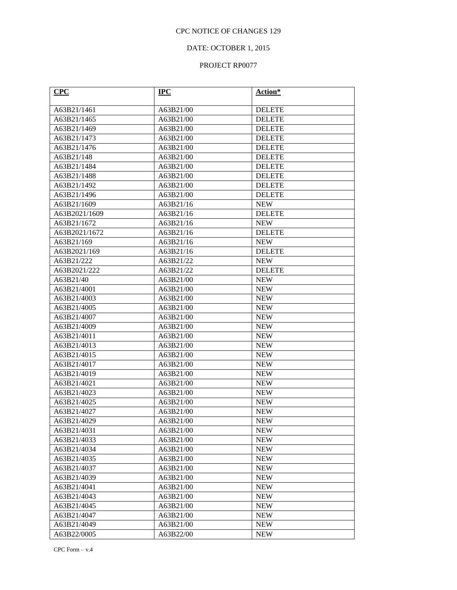# DATE: OCTOBER 1, 2015

| CPC                        | $IPC$                  | Action*                  |
|----------------------------|------------------------|--------------------------|
| A63B21/1461                | A63B21/00              | <b>DELETE</b>            |
| A63B21/1465                | A63B21/00              | <b>DELETE</b>            |
| A63B21/1469                | A63B21/00              | <b>DELETE</b>            |
| A63B21/1473                | A63B21/00              | <b>DELETE</b>            |
| A63B21/1476                | A63B21/00              | <b>DELETE</b>            |
| A63B21/148                 | A63B21/00              | <b>DELETE</b>            |
| A63B21/1484                | A63B21/00              | <b>DELETE</b>            |
| A63B21/1488                | A63B21/00              | <b>DELETE</b>            |
| A63B21/1492                | A63B21/00              | <b>DELETE</b>            |
| A63B21/1496                | A63B21/00              | <b>DELETE</b>            |
| A63B21/1609                | A63B21/16              | <b>NEW</b>               |
| A63B2021/1609              | A63B21/16              | <b>DELETE</b>            |
| A63B21/1672                | A63B21/16              | <b>NEW</b>               |
| A63B2021/1672              | A63B21/16              | <b>DELETE</b>            |
| A63B21/169                 | A63B21/16              | <b>NEW</b>               |
| A63B2021/169               | A63B21/16              | <b>DELETE</b>            |
| A63B21/222                 | A63B21/22              | <b>NEW</b>               |
| A63B2021/222               | A63B21/22              | <b>DELETE</b>            |
| A63B21/40                  | A63B21/00              | <b>NEW</b>               |
| A63B21/4001                | A63B21/00              | <b>NEW</b>               |
| A63B21/4003                | A63B21/00              | <b>NEW</b>               |
| A63B21/4005                | A63B21/00              | <b>NEW</b>               |
| A63B21/4007                | A63B21/00              | <b>NEW</b>               |
| A63B21/4009                | A63B21/00              | <b>NEW</b>               |
| A63B21/4011                | A63B21/00              | <b>NEW</b>               |
| A63B21/4013                | A63B21/00              | <b>NEW</b>               |
| A63B21/4015                | A63B21/00              | <b>NEW</b>               |
| A63B21/4017                | A63B21/00              | <b>NEW</b>               |
| A63B21/4019                | A63B21/00              | <b>NEW</b>               |
| A63B21/4021                | A63B21/00              | <b>NEW</b>               |
| A63B21/4023                | A63B21/00              | <b>NEW</b>               |
| A63B21/4025                | A63B21/00              | <b>NEW</b>               |
| A63B21/4027                | A63B21/00              | <b>NEW</b>               |
| A63B21/4029                | A63B21/00              | <b>NEW</b>               |
| A63B21/4031                | A63B21/00              | <b>NEW</b>               |
| A63B21/4033<br>A63B21/4034 | A63B21/00<br>A63B21/00 | <b>NEW</b><br><b>NEW</b> |
| A63B21/4035                | A63B21/00              | <b>NEW</b>               |
| A63B21/4037                | A63B21/00              | <b>NEW</b>               |
| A63B21/4039                | A63B21/00              | <b>NEW</b>               |
| A63B21/4041                | A63B21/00              | <b>NEW</b>               |
| A63B21/4043                | A63B21/00              | <b>NEW</b>               |
| A63B21/4045                | A63B21/00              | <b>NEW</b>               |
| A63B21/4047                | A63B21/00              | <b>NEW</b>               |
| A63B21/4049                | A63B21/00              | <b>NEW</b>               |
| A63B22/0005                | A63B22/00              | <b>NEW</b>               |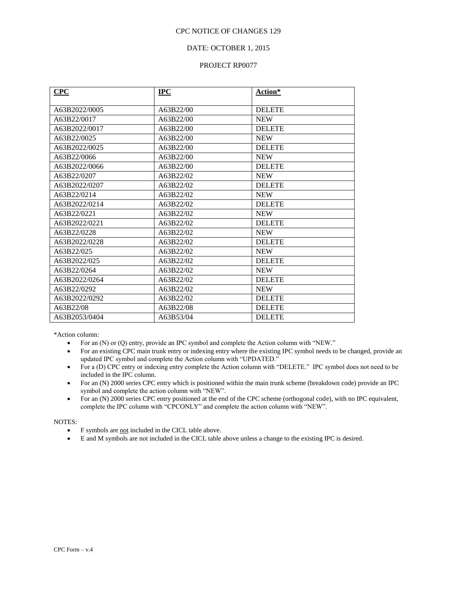## DATE: OCTOBER 1, 2015

### PROJECT RP0077

| CPC           | <b>IPC</b> | Action*       |
|---------------|------------|---------------|
| A63B2022/0005 | A63B22/00  | <b>DELETE</b> |
|               |            |               |
| A63B22/0017   | A63B22/00  | <b>NEW</b>    |
| A63B2022/0017 | A63B22/00  | <b>DELETE</b> |
| A63B22/0025   | A63B22/00  | <b>NEW</b>    |
| A63B2022/0025 | A63B22/00  | <b>DELETE</b> |
| A63B22/0066   | A63B22/00  | <b>NEW</b>    |
| A63B2022/0066 | A63B22/00  | <b>DELETE</b> |
| A63B22/0207   | A63B22/02  | <b>NEW</b>    |
| A63B2022/0207 | A63B22/02  | <b>DELETE</b> |
| A63B22/0214   | A63B22/02  | <b>NEW</b>    |
| A63B2022/0214 | A63B22/02  | <b>DELETE</b> |
| A63B22/0221   | A63B22/02  | <b>NEW</b>    |
| A63B2022/0221 | A63B22/02  | <b>DELETE</b> |
| A63B22/0228   | A63B22/02  | <b>NEW</b>    |
| A63B2022/0228 | A63B22/02  | <b>DELETE</b> |
| A63B22/025    | A63B22/02  | <b>NEW</b>    |
| A63B2022/025  | A63B22/02  | <b>DELETE</b> |
| A63B22/0264   | A63B22/02  | <b>NEW</b>    |
| A63B2022/0264 | A63B22/02  | <b>DELETE</b> |
| A63B22/0292   | A63B22/02  | <b>NEW</b>    |
| A63B2022/0292 | A63B22/02  | <b>DELETE</b> |
| A63B22/08     | A63B22/08  | <b>DELETE</b> |
| A63B2053/0404 | A63B53/04  | <b>DELETE</b> |

\*Action column:

- For an (N) or (Q) entry, provide an IPC symbol and complete the Action column with "NEW."
- For an existing CPC main trunk entry or indexing entry where the existing IPC symbol needs to be changed, provide an updated IPC symbol and complete the Action column with "UPDATED."
- For a (D) CPC entry or indexing entry complete the Action column with "DELETE." IPC symbol does not need to be included in the IPC column.
- For an (N) 2000 series CPC entry which is positioned within the main trunk scheme (breakdown code) provide an IPC symbol and complete the action column with "NEW".
- For an (N) 2000 series CPC entry positioned at the end of the CPC scheme (orthogonal code), with no IPC equivalent, complete the IPC column with "CPCONLY" and complete the action column with "NEW".

#### NOTES:

- F symbols are not included in the CICL table above.
- E and M symbols are not included in the CICL table above unless a change to the existing IPC is desired.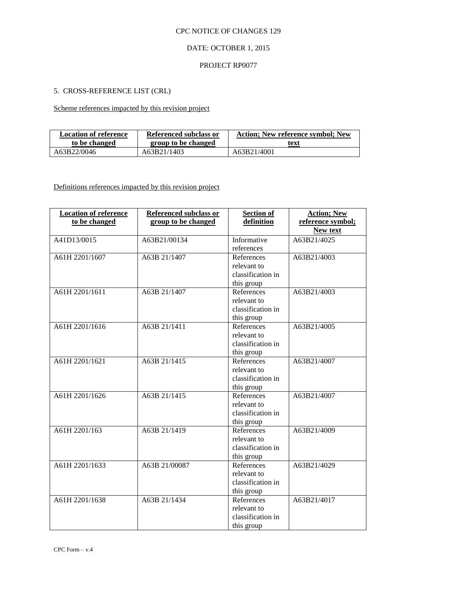# DATE: OCTOBER 1, 2015

### PROJECT RP0077

# 5. CROSS-REFERENCE LIST (CRL)

Scheme references impacted by this revision project

| <b>Location of reference</b> | Referenced subclass or | Action; New reference symbol; New |
|------------------------------|------------------------|-----------------------------------|
| to be changed                | group to be changed    | text                              |
| A63B22/0046                  | A63B21/1403            | A63B21/4001                       |

Definitions references impacted by this revision project

| <b>Location of reference</b><br>to be changed | <b>Referenced subclass or</b><br>group to be changed | <b>Section of</b><br>definition | <b>Action; New</b><br>reference symbol; |
|-----------------------------------------------|------------------------------------------------------|---------------------------------|-----------------------------------------|
|                                               |                                                      |                                 | <b>New text</b>                         |
| A41D13/0015                                   | A63B21/00134                                         | Informative                     | A63B21/4025                             |
|                                               |                                                      | references                      |                                         |
| A61H 2201/1607                                | A63B 21/1407                                         | References                      | A63B21/4003                             |
|                                               |                                                      | relevant to                     |                                         |
|                                               |                                                      | classification in               |                                         |
|                                               |                                                      | this group                      |                                         |
| A61H 2201/1611                                | A63B 21/1407                                         | References                      | A63B21/4003                             |
|                                               |                                                      | relevant to                     |                                         |
|                                               |                                                      | classification in               |                                         |
|                                               |                                                      | this group                      |                                         |
| A61H 2201/1616                                | A63B $21/1411$                                       | References                      | A63B21/4005                             |
|                                               |                                                      | relevant to                     |                                         |
|                                               |                                                      | classification in               |                                         |
|                                               |                                                      | this group                      |                                         |
| A61H 2201/1621                                | A63B 21/1415                                         | References                      | A63B21/4007                             |
|                                               |                                                      | relevant to                     |                                         |
|                                               |                                                      | classification in               |                                         |
|                                               |                                                      | this group                      |                                         |
| A61H 2201/1626                                | A63B 21/1415                                         | References                      | A63B21/4007                             |
|                                               |                                                      | relevant to                     |                                         |
|                                               |                                                      | classification in               |                                         |
|                                               |                                                      | this group                      |                                         |
| A61H 2201/163                                 | A63B 21/1419                                         | References                      | A63B21/4009                             |
|                                               |                                                      | relevant to                     |                                         |
|                                               |                                                      | classification in               |                                         |
|                                               |                                                      | this group                      |                                         |
| A61H 2201/1633                                | A63B 21/00087                                        | References                      | A63B21/4029                             |
|                                               |                                                      | relevant to                     |                                         |
|                                               |                                                      | classification in               |                                         |
|                                               |                                                      | this group                      |                                         |
| A61H 2201/1638                                | A63B 21/1434                                         | References                      | A63B21/4017                             |
|                                               |                                                      | relevant to                     |                                         |
|                                               |                                                      | classification in               |                                         |
|                                               |                                                      | this group                      |                                         |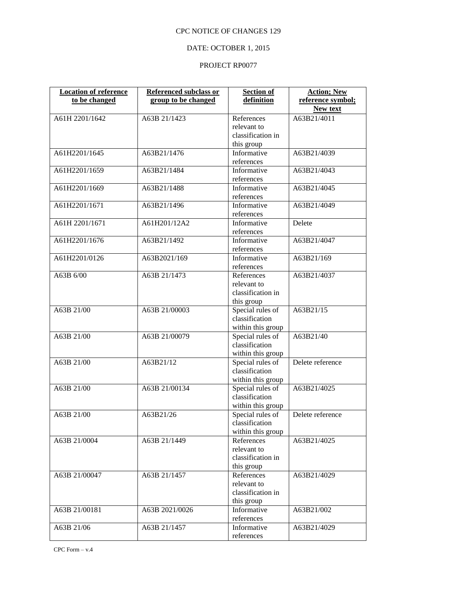# DATE: OCTOBER 1, 2015

| <b>Location of reference</b> | <b>Referenced subclass or</b> | <b>Section of</b> | <b>Action; New</b> |
|------------------------------|-------------------------------|-------------------|--------------------|
| to be changed                | group to be changed           | definition        | reference symbol;  |
|                              |                               |                   | New text           |
| A61H 2201/1642               | A63B 21/1423                  | References        | A63B21/4011        |
|                              |                               | relevant to       |                    |
|                              |                               | classification in |                    |
|                              |                               | this group        |                    |
| A61H2201/1645                | A63B21/1476                   | Informative       | A63B21/4039        |
|                              |                               | references        |                    |
| A61H2201/1659                | A63B21/1484                   | Informative       | A63B21/4043        |
|                              |                               | references        |                    |
| A61H2201/1669                | A63B21/1488                   | Informative       | A63B21/4045        |
|                              |                               | references        |                    |
| A61H2201/1671                | A63B21/1496                   | Informative       | A63B21/4049        |
|                              |                               | references        |                    |
| A61H 2201/1671               | A61H201/12A2                  | Informative       | Delete             |
|                              |                               | references        |                    |
| A61H2201/1676                | A63B21/1492                   | Informative       | A63B21/4047        |
|                              |                               | references        |                    |
| A61H2201/0126                | A63B2021/169                  | Informative       | A63B21/169         |
|                              |                               | references        |                    |
| A63B 6/00                    | A63B 21/1473                  | References        | A63B21/4037        |
|                              |                               | relevant to       |                    |
|                              |                               | classification in |                    |
|                              |                               | this group        |                    |
| A63B 21/00                   | A63B 21/00003                 | Special rules of  | A63B21/15          |
|                              |                               | classification    |                    |
|                              |                               | within this group |                    |
| A63B 21/00                   | A63B 21/00079                 | Special rules of  | A63B21/40          |
|                              |                               | classification    |                    |
|                              |                               | within this group |                    |
| A63B 21/00                   | A63B21/12                     | Special rules of  | Delete reference   |
|                              |                               | classification    |                    |
|                              |                               | within this group |                    |
| A63B 21/00                   | A63B 21/00134                 | Special rules of  | A63B21/4025        |
|                              |                               | classification    |                    |
|                              |                               | within this group |                    |
| A63B 21/00                   | A63B21/26                     | Special rules of  | Delete reference   |
|                              |                               | classification    |                    |
|                              |                               | within this group |                    |
| A63B 21/0004                 | A63B 21/1449                  | References        | A63B21/4025        |
|                              |                               | relevant to       |                    |
|                              |                               | classification in |                    |
|                              |                               | this group        |                    |
| A63B 21/00047                | A63B 21/1457                  | References        | A63B21/4029        |
|                              |                               | relevant to       |                    |
|                              |                               | classification in |                    |
|                              |                               | this group        |                    |
| A63B 21/00181                | A63B 2021/0026                | Informative       | A63B21/002         |
|                              |                               | references        |                    |
| A63B 21/06                   | A63B 21/1457                  | Informative       | A63B21/4029        |
|                              |                               | references        |                    |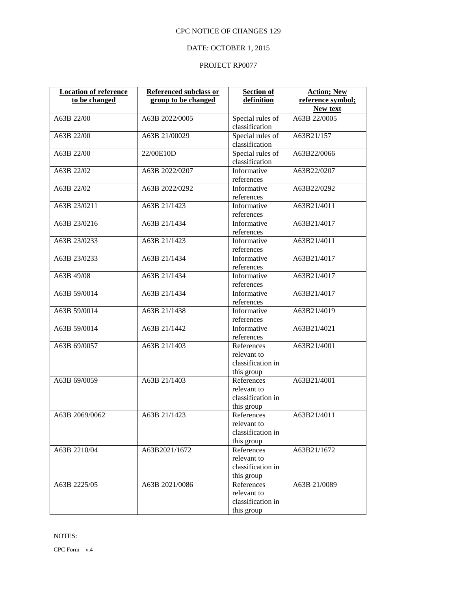# DATE: OCTOBER 1, 2015

| <b>Location of reference</b> | Referenced subclass or | <b>Section of</b>                  | <b>Action; New</b> |
|------------------------------|------------------------|------------------------------------|--------------------|
| to be changed                | group to be changed    | definition                         | reference symbol;  |
|                              |                        |                                    | New text           |
| A63B 22/00                   | A63B 2022/0005         | Special rules of<br>classification | A63B 22/0005       |
| A63B 22/00                   | A63B 21/00029          | Special rules of                   | A63B21/157         |
|                              |                        | classification                     |                    |
| A63B 22/00                   | 22/00E10D              | Special rules of                   | A63B22/0066        |
|                              |                        | classification                     |                    |
| A63B 22/02                   | A63B 2022/0207         | Informative                        | A63B22/0207        |
|                              |                        | references                         |                    |
| A63B 22/02                   | A63B 2022/0292         | Informative                        | A63B22/0292        |
|                              |                        | references                         |                    |
| A63B 23/0211                 | A63B 21/1423           | Informative                        | A63B21/4011        |
|                              |                        | references                         |                    |
| A63B 23/0216                 | A63B 21/1434           | Informative                        | A63B21/4017        |
|                              |                        | references                         |                    |
| A63B 23/0233                 | A63B 21/1423           | Informative                        | A63B21/4011        |
|                              |                        | references                         |                    |
| A63B 23/0233                 | A63B 21/1434           | Informative                        | A63B21/4017        |
|                              |                        | references                         |                    |
| A63B 49/08                   | A63B 21/1434           | Informative                        | A63B21/4017        |
|                              |                        | references                         |                    |
| A63B 59/0014                 | A63B 21/1434           | Informative                        | A63B21/4017        |
|                              |                        | references                         |                    |
| A63B 59/0014                 | A63B 21/1438           | Informative<br>references          | A63B21/4019        |
| A63B 59/0014                 | A63B 21/1442           | Informative                        | A63B21/4021        |
|                              |                        | references                         |                    |
| A63B 69/0057                 | A63B 21/1403           | References                         | A63B21/4001        |
|                              |                        | relevant to                        |                    |
|                              |                        | classification in                  |                    |
|                              |                        | this group                         |                    |
| A63B 69/0059                 | A63B 21/1403           | References                         | A63B21/4001        |
|                              |                        | relevant to                        |                    |
|                              |                        | classification in                  |                    |
|                              |                        | this group                         |                    |
| A63B 2069/0062               | A63B 21/1423           | References                         | A63B21/4011        |
|                              |                        | relevant to                        |                    |
|                              |                        | classification in                  |                    |
|                              |                        | this group                         |                    |
| A63B 2210/04                 | A63B2021/1672          | References<br>relevant to          | A63B21/1672        |
|                              |                        | classification in                  |                    |
|                              |                        | this group                         |                    |
| A63B 2225/05                 | A63B 2021/0086         | References                         | A63B 21/0089       |
|                              |                        | relevant to                        |                    |
|                              |                        | classification in                  |                    |
|                              |                        | this group                         |                    |